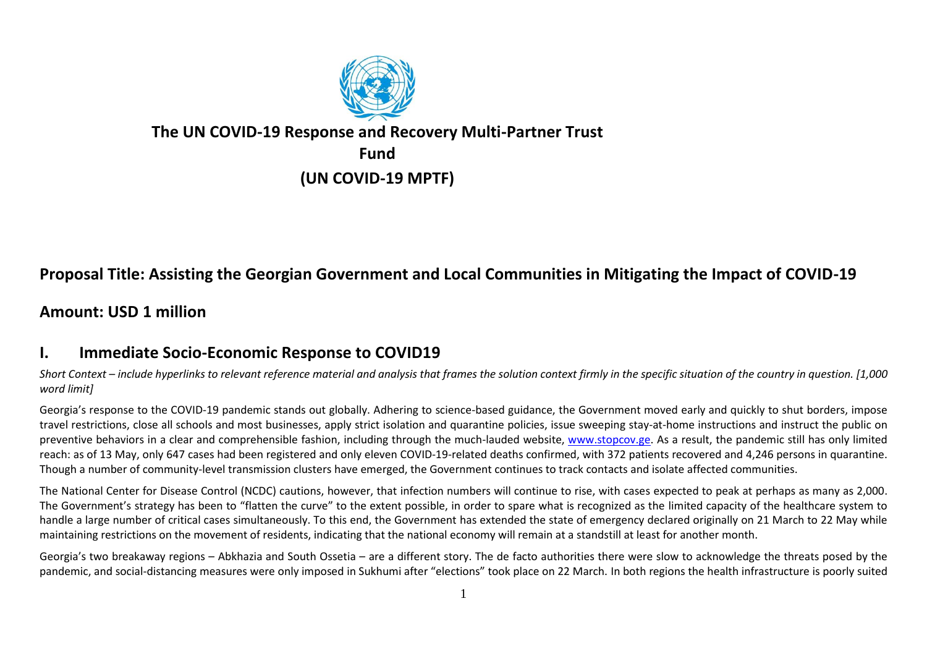

## **The UN COVID-19 Response and Recovery Multi-Partner Trust Fund**

**(UN COVID-19 MPTF)**

# **Proposal Title: Assisting the Georgian Government and Local Communities in Mitigating the Impact of COVID-19**

#### **Amount: USD 1 million**

#### **I. Immediate Socio-Economic Response to COVID19**

*Short Context – include hyperlinks to relevant reference material and analysis that frames the solution context firmly in the specific situation of the country in question. [1,000 word limit]*

Georgia's response to the COVID-19 pandemic stands out globally. Adhering to science-based guidance, the Government moved early and quickly to shut borders, impose travel restrictions, close all schools and most businesses, apply strict isolation and quarantine policies, issue sweeping stay-at-home instructions and instruct the public on preventive behaviors in a clear and comprehensible fashion, including through the much-lauded website, [www.stopcov.ge.](http://www.stopcov.ge/) As a result, the pandemic still has only limited reach: as of 13 May, only 647 cases had been registered and only eleven COVID-19-related deaths confirmed, with 372 patients recovered and 4,246 persons in quarantine. Though a number of community-level transmission clusters have emerged, the Government continues to track contacts and isolate affected communities.

The National Center for Disease Control (NCDC) cautions, however, that infection numbers will continue to rise, with cases expected to peak at perhaps as many as 2,000. The Government's strategy has been to "flatten the curve" to the extent possible, in order to spare what is recognized as the limited capacity of the healthcare system to handle a large number of critical cases simultaneously. To this end, the Government has extended the state of emergency declared originally on 21 March to 22 May while maintaining restrictions on the movement of residents, indicating that the national economy will remain at a standstill at least for another month.

Georgia's two breakaway regions – Abkhazia and South Ossetia – are a different story. The de facto authorities there were slow to acknowledge the threats posed by the pandemic, and social-distancing measures were only imposed in Sukhumi after "elections" took place on 22 March. In both regions the health infrastructure is poorly suited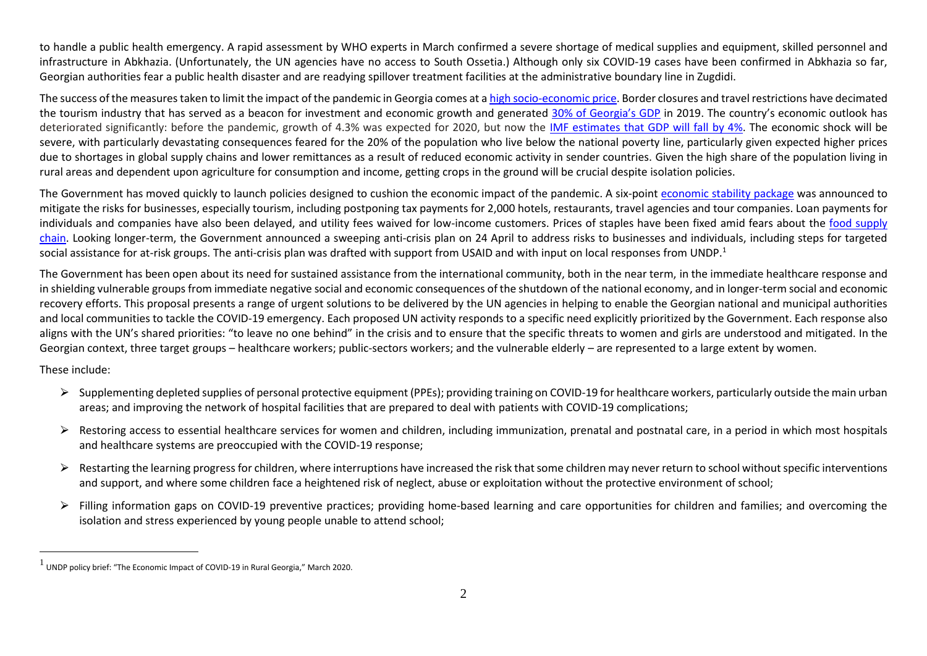to handle a public health emergency. A rapid assessment by WHO experts in March confirmed a severe shortage of medical supplies and equipment, skilled personnel and infrastructure in Abkhazia. (Unfortunately, the UN agencies have no access to South Ossetia.) Although only six COVID-19 cases have been confirmed in Abkhazia so far, Georgian authorities fear a public health disaster and are readying spillover treatment facilities at the administrative boundary line in Zugdidi.

The success of the measures taken to limit the impact of the pandemic in Georgia comes at [a high socio-economic price.](https://iset-pi.ge/index.php/en/macroeconomic-policy-briefs/2581-the-economic-response-to-covid-19-how-is-georgia-handling-the-challenge) Border closures and travel restrictions have decimated the tourism industry that has served as a beacon for investment and economic growth and generated [30% of Georgia's GDP](https://openknowledge.worldbank.org/handle/10986/33476?fbclid=IwAR24hT-S5h2ln6pmKONcqiUN7bljSjHj-PhDMrGtHghrUZC2X9WC-jAP78I) in 2019. The country's economic outlook has deteriorated significantly: before the pandemic, growth of 4.3% was expected for 2020, but now the [IMF estimates that GDP will fall by 4%.](https://www.imf.org/en/News/Articles/2020/04/15/pr20158-georgia-imf-reaches-staff-level-agreement-on-sixth-review-for-eff) The economic shock will be severe, with particularly devastating consequences feared for the 20% of the population who live below the national poverty line, particularly given expected higher prices due to shortages in global supply chains and lower remittances as a result of reduced economic activity in sender countries. Given the high share of the population living in rural areas and dependent upon agriculture for consumption and income, getting crops in the ground will be crucial despite isolation policies.

The Government has moved quickly to launch policies designed to cushion the economic impact of the pandemic. A six-point [economic stability package](https://www.interpressnews.ge/ka/article/589780-koronavirusis-gavrcelebit-gamocveuli-negatiuri-gavlenebis-shesarbileblad-mtavrobis-shemushavebuli-ekonomikis-mxardacheris-gonisziebebi-6-punktisgan-shedgeba) was announced to mitigate the risks for businesses, especially tourism, including postponing tax payments for 2,000 hotels, restaurants, travel agencies and tour companies. Loan payments for individuals and companies have also been delayed, and utility fees waived for low-income customers. [Prices of staples have been fixed](http://../Downloads/from%20%20https:/iset-pi.ge/index.php/en/agricultural-policy-briefs/2584-how-does-covid-19-affect-the-food-supply-chain-in-georgia?fbclid=IwAR3tUnpQDcpr7cKMh-pKjbsgjgZ63wC1zINl15WstZFQUljtYu_EVlnuyXA) amid fears about the [food supply](https://iset-pi.ge/index.php/en/agricultural-policy-briefs/2584-how-does-covid-19-affect-the-food-supply-chain-in-georgia?fbclid=IwAR3tUnpQDcpr7cKMh-pKjbsgjgZ63wC1zINl15WstZFQUljtYu_EVlnuyXA)  [chain.](https://iset-pi.ge/index.php/en/agricultural-policy-briefs/2584-how-does-covid-19-affect-the-food-supply-chain-in-georgia?fbclid=IwAR3tUnpQDcpr7cKMh-pKjbsgjgZ63wC1zINl15WstZFQUljtYu_EVlnuyXA) Looking longer-term, the Government announced a sweeping anti-crisis plan on 24 April to address risks to businesses and individuals, including steps for targeted social assistance for at-risk groups. The anti-crisis plan was drafted with support from USAID and with input on local responses from UNDP.<sup>1</sup>

The Government has been open about its need for sustained assistance from the international community, both in the near term, in the immediate healthcare response and in shielding vulnerable groups from immediate negative social and economic consequences of the shutdown of the national economy, and in longer-term social and economic recovery efforts. This proposal presents a range of urgent solutions to be delivered by the UN agencies in helping to enable the Georgian national and municipal authorities and local communities to tackle the COVID-19 emergency. Each proposed UN activity responds to a specific need explicitly prioritized by the Government. Each response also aligns with the UN's shared priorities: "to leave no one behind" in the crisis and to ensure that the specific threats to women and girls are understood and mitigated. In the Georgian context, three target groups – healthcare workers; public-sectors workers; and the vulnerable elderly – are represented to a large extent by women.

These include:

- $\triangleright$  Supplementing depleted supplies of personal protective equipment (PPEs); providing training on COVID-19 for healthcare workers, particularly outside the main urban areas; and improving the network of hospital facilities that are prepared to deal with patients with COVID-19 complications;
- ▶ Restoring access to essential healthcare services for women and children, including immunization, prenatal and postnatal care, in a period in which most hospitals and healthcare systems are preoccupied with the COVID-19 response;
- ▶ Restarting the learning progress for children, where interruptions have increased the risk that some children may never return to school without specific interventions and support, and where some children face a heightened risk of neglect, abuse or exploitation without the protective environment of school;
- $\triangleright$  Filling information gaps on COVID-19 preventive practices; providing home-based learning and care opportunities for children and families; and overcoming the isolation and stress experienced by young people unable to attend school;

 $^1$  UNDP policy brief: "The Economic Impact of COVID-19 in Rural Georgia," March 2020.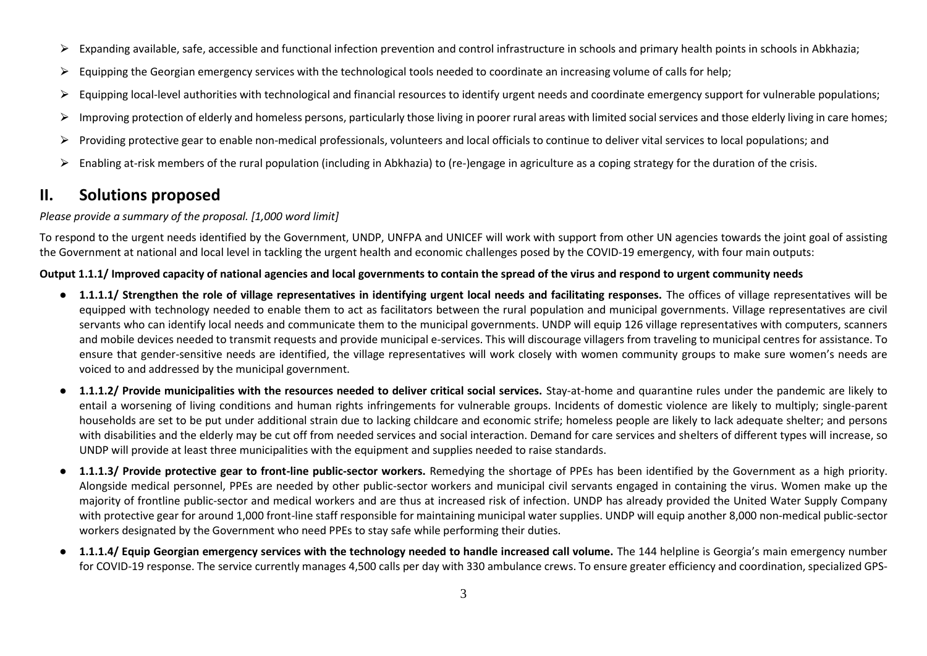- $\triangleright$  Expanding available, safe, accessible and functional infection prevention and control infrastructure in schools and primary health points in schools in Abkhazia;
- ▶ Equipping the Georgian emergency services with the technological tools needed to coordinate an increasing volume of calls for help;
- $\triangleright$  Equipping local-level authorities with technological and financial resources to identify urgent needs and coordinate emergency support for vulnerable populations;
- $\triangleright$  Improving protection of elderly and homeless persons, particularly those living in poorer rural areas with limited social services and those elderly living in care homes;
- $\triangleright$  Providing protective gear to enable non-medical professionals, volunteers and local officials to continue to deliver vital services to local populations; and
- $\triangleright$  Enabling at-risk members of the rural population (including in Abkhazia) to (re-)engage in agriculture as a coping strategy for the duration of the crisis.

## **II. Solutions proposed**

#### *Please provide a summary of the proposal. [1,000 word limit]*

To respond to the urgent needs identified by the Government, UNDP, UNFPA and UNICEF will work with support from other UN agencies towards the joint goal of assisting the Government at national and local level in tackling the urgent health and economic challenges posed by the COVID-19 emergency, with four main outputs:

#### **Output 1.1.1/ Improved capacity of national agencies and local governments to contain the spread of the virus and respond to urgent community needs**

- **1.1.1.1/ Strengthen the role of village representatives in identifying urgent local needs and facilitating responses.** The offices of village representatives will be equipped with technology needed to enable them to act as facilitators between the rural population and municipal governments. Village representatives are civil servants who can identify local needs and communicate them to the municipal governments. UNDP will equip 126 village representatives with computers, scanners and mobile devices needed to transmit requests and provide municipal e-services. This will discourage villagers from traveling to municipal centres for assistance. To ensure that gender-sensitive needs are identified, the village representatives will work closely with women community groups to make sure women's needs are voiced to and addressed by the municipal government.
- **1.1.1.2/ Provide municipalities with the resources needed to deliver critical social services.** Stay-at-home and quarantine rules under the pandemic are likely to entail a worsening of living conditions and human rights infringements for vulnerable groups. Incidents of domestic violence are likely to multiply; single-parent households are set to be put under additional strain due to lacking childcare and economic strife; homeless people are likely to lack adequate shelter; and persons with disabilities and the elderly may be cut off from needed services and social interaction. Demand for care services and shelters of different types will increase, so UNDP will provide at least three municipalities with the equipment and supplies needed to raise standards.
- **1.1.1.3/ Provide protective gear to front-line public-sector workers.** Remedying the shortage of PPEs has been identified by the Government as a high priority. Alongside medical personnel, PPEs are needed by other public-sector workers and municipal civil servants engaged in containing the virus. Women make up the majority of frontline public-sector and medical workers and are thus at increased risk of infection. UNDP has already provided the United Water Supply Company with protective gear for around 1,000 front-line staff responsible for maintaining municipal water supplies. UNDP will equip another 8,000 non-medical public-sector workers designated by the Government who need PPEs to stay safe while performing their duties.
- **1.1.1.4/ Equip Georgian emergency services with the technology needed to handle increased call volume.** The 144 helpline is Georgia's main emergency number for COVID-19 response. The service currently manages 4,500 calls per day with 330 ambulance crews. To ensure greater efficiency and coordination, specialized GPS-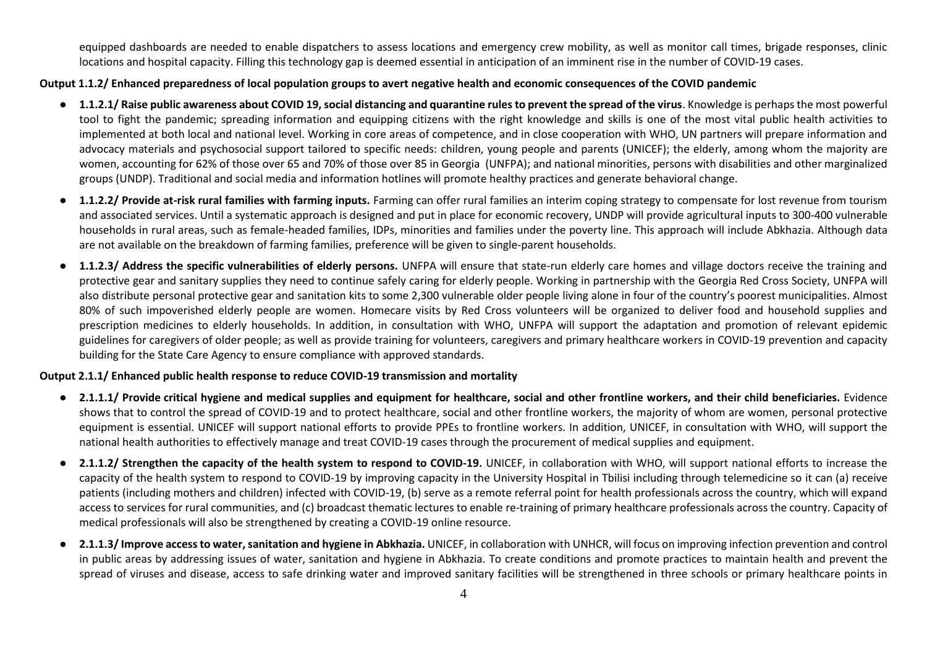equipped dashboards are needed to enable dispatchers to assess locations and emergency crew mobility, as well as monitor call times, brigade responses, clinic locations and hospital capacity. Filling this technology gap is deemed essential in anticipation of an imminent rise in the number of COVID-19 cases.

#### **Output 1.1.2/ Enhanced preparedness of local population groups to avert negative health and economic consequences of the COVID pandemic**

- **1.1.2.1/ Raise public awareness about COVID 19, social distancing and quarantine rules to prevent the spread of the virus**. Knowledge is perhaps the most powerful tool to fight the pandemic; spreading information and equipping citizens with the right knowledge and skills is one of the most vital public health activities to implemented at both local and national level. Working in core areas of competence, and in close cooperation with WHO, UN partners will prepare information and advocacy materials and psychosocial support tailored to specific needs: children, young people and parents (UNICEF); the elderly, among whom the majority are women, accounting for 62% of those over 65 and 70% of those over 85 in Georgia (UNFPA); and national minorities, persons with disabilities and other marginalized groups (UNDP). Traditional and social media and information hotlines will promote healthy practices and generate behavioral change.
- **1.1.2.2/ Provide at-risk rural families with farming inputs.** Farming can offer rural families an interim coping strategy to compensate for lost revenue from tourism and associated services. Until a systematic approach is designed and put in place for economic recovery, UNDP will provide agricultural inputs to 300-400 vulnerable households in rural areas, such as female-headed families, IDPs, minorities and families under the poverty line. This approach will include Abkhazia. Although data are not available on the breakdown of farming families, preference will be given to single-parent households.
- **1.1.2.3/ Address the specific vulnerabilities of elderly persons.** UNFPA will ensure that state-run elderly care homes and village doctors receive the training and protective gear and sanitary supplies they need to continue safely caring for elderly people. Working in partnership with the Georgia Red Cross Society, UNFPA will also distribute personal protective gear and sanitation kits to some 2,300 vulnerable older people living alone in four of the country's poorest municipalities. Almost 80% of such impoverished elderly people are women. Homecare visits by Red Cross volunteers will be organized to deliver food and household supplies and prescription medicines to elderly households. In addition, in consultation with WHO, UNFPA will support the adaptation and promotion of relevant epidemic guidelines for caregivers of older people; as well as provide training for volunteers, caregivers and primary healthcare workers in COVID-19 prevention and capacity building for the State Care Agency to ensure compliance with approved standards.

#### **Output 2.1.1/ Enhanced public health response to reduce COVID-19 transmission and mortality**

- **2.1.1.1/ Provide critical hygiene and medical supplies and equipment for healthcare, social and other frontline workers, and their child beneficiaries.** Evidence shows that to control the spread of COVID-19 and to protect healthcare, social and other frontline workers, the majority of whom are women, personal protective equipment is essential. UNICEF will support national efforts to provide PPEs to frontline workers. In addition, UNICEF, in consultation with WHO, will support the national health authorities to effectively manage and treat COVID-19 cases through the procurement of medical supplies and equipment.
- **2.1.1.2/ Strengthen the capacity of the health system to respond to COVID-19.** UNICEF, in collaboration with WHO, will support national efforts to increase the capacity of the health system to respond to COVID-19 by improving capacity in the University Hospital in Tbilisi including through telemedicine so it can (a) receive patients (including mothers and children) infected with COVID-19, (b) serve as a remote referral point for health professionals across the country, which will expand access to services for rural communities, and (c) broadcast thematic lectures to enable re-training of primary healthcare professionals across the country. Capacity of medical professionals will also be strengthened by creating a COVID-19 online resource.
- **2.1.1.3/ Improve access to water, sanitation and hygiene in Abkhazia.** UNICEF, in collaboration with UNHCR, will focus on improving infection prevention and control in public areas by addressing issues of water, sanitation and hygiene in Abkhazia. To create conditions and promote practices to maintain health and prevent the spread of viruses and disease, access to safe drinking water and improved sanitary facilities will be strengthened in three schools or primary healthcare points in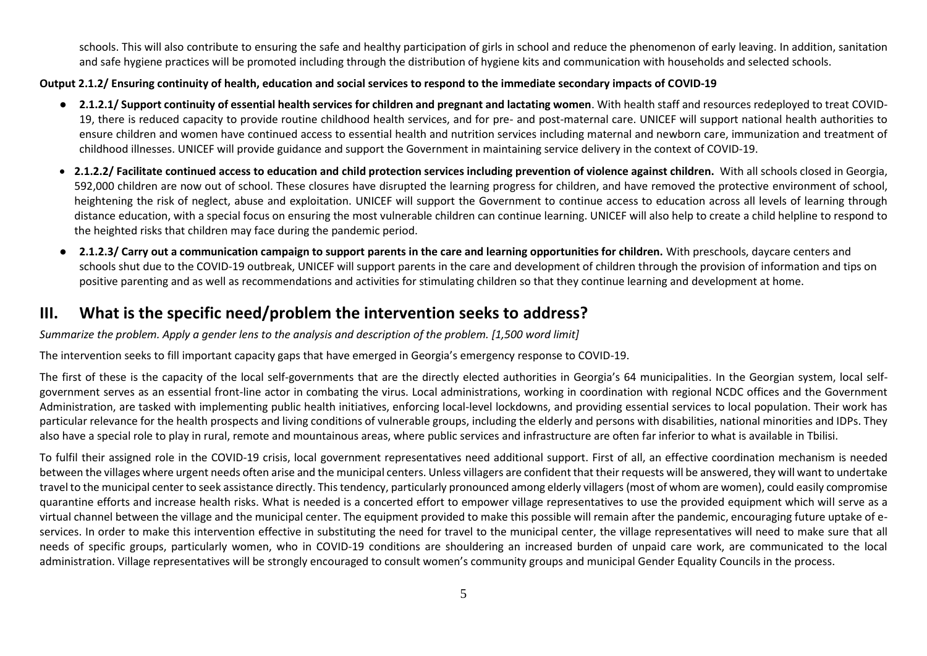schools. This will also contribute to ensuring the safe and healthy participation of girls in school and reduce the phenomenon of early leaving. In addition, sanitation and safe hygiene practices will be promoted including through the distribution of hygiene kits and communication with households and selected schools.

#### **Output 2.1.2/ Ensuring continuity of health, education and social services to respond to the immediate secondary impacts of COVID-19**

- **2.1.2.1/ Support continuity of essential health services for children and pregnant and lactating women**. With health staff and resources redeployed to treat COVID-19, there is reduced capacity to provide routine childhood health services, and for pre- and post-maternal care. UNICEF will support national health authorities to ensure children and women have continued access to essential health and nutrition services including maternal and newborn care, immunization and treatment of childhood illnesses. UNICEF will provide guidance and support the Government in maintaining service delivery in the context of COVID-19.
- **2.1.2.2/ Facilitate continued access to education and child protection services including prevention of violence against children.** With all schools closed in Georgia, 592,000 children are now out of school. These closures have disrupted the learning progress for children, and have removed the protective environment of school, heightening the risk of neglect, abuse and exploitation. UNICEF will support the Government to continue access to education across all levels of learning through distance education, with a special focus on ensuring the most vulnerable children can continue learning. UNICEF will also help to create a child helpline to respond to the heighted risks that children may face during the pandemic period.
- **2.1.2.3/ Carry out a communication campaign to support parents in the care and learning opportunities for children.** With preschools, daycare centers and schools shut due to the COVID-19 outbreak, UNICEF will support parents in the care and development of children through the provision of information and tips on positive parenting and as well as recommendations and activities for stimulating children so that they continue learning and development at home.

#### **III. What is the specific need/problem the intervention seeks to address?**

*Summarize the problem. Apply [a gender lens](https://www.unwomen.org/en/news/stories/2020/3/news-checklist-for-covid-19-response-by-ded-regner) to the analysis and description of the problem. [1,500 word limit]*

The intervention seeks to fill important capacity gaps that have emerged in Georgia's emergency response to COVID-19.

The first of these is the capacity of the local self-governments that are the directly elected authorities in Georgia's 64 municipalities. In the Georgian system, local selfgovernment serves as an essential front-line actor in combating the virus. Local administrations, working in coordination with regional NCDC offices and the Government Administration, are tasked with implementing public health initiatives, enforcing local-level lockdowns, and providing essential services to local population. Their work has particular relevance for the health prospects and living conditions of vulnerable groups, including the elderly and persons with disabilities, national minorities and IDPs. They also have a special role to play in rural, remote and mountainous areas, where public services and infrastructure are often far inferior to what is available in Tbilisi.

To fulfil their assigned role in the COVID-19 crisis, local government representatives need additional support. First of all, an effective coordination mechanism is needed between the villages where urgent needs often arise and the municipal centers. Unless villagers are confident that their requests will be answered, they will want to undertake travel to the municipal center to seek assistance directly. This tendency, particularly pronounced among elderly villagers (most of whom are women), could easily compromise quarantine efforts and increase health risks. What is needed is a concerted effort to empower village representatives to use the provided equipment which will serve as a virtual channel between the village and the municipal center. The equipment provided to make this possible will remain after the pandemic, encouraging future uptake of eservices. In order to make this intervention effective in substituting the need for travel to the municipal center, the village representatives will need to make sure that all needs of specific groups, particularly women, who in COVID-19 conditions are shouldering an increased burden of unpaid care work, are communicated to the local administration. Village representatives will be strongly encouraged to consult women's community groups and municipal Gender Equality Councils in the process.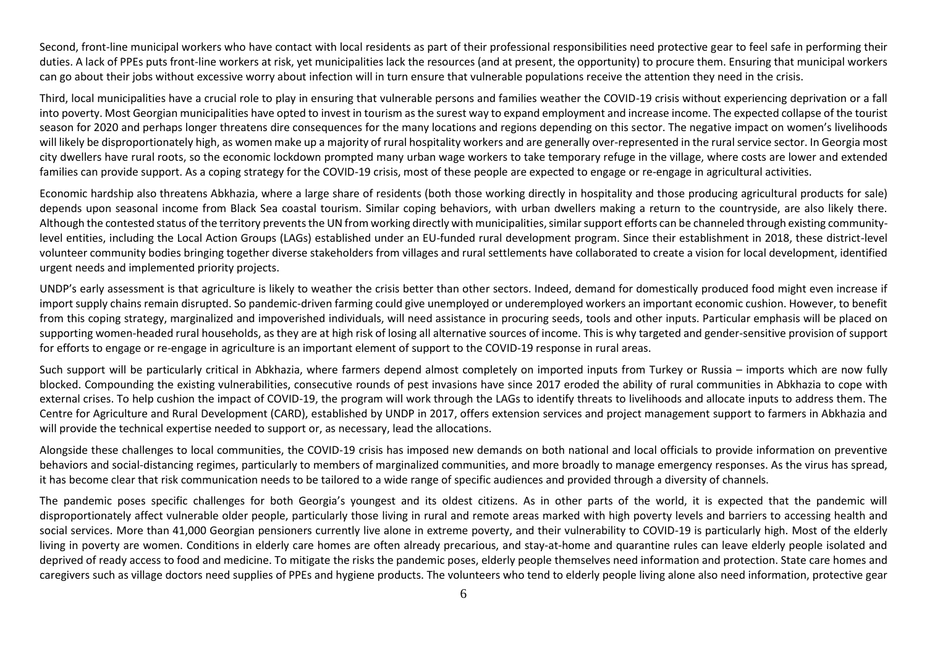Second, front-line municipal workers who have contact with local residents as part of their professional responsibilities need protective gear to feel safe in performing their duties. A lack of PPEs puts front-line workers at risk, yet municipalities lack the resources (and at present, the opportunity) to procure them. Ensuring that municipal workers can go about their jobs without excessive worry about infection will in turn ensure that vulnerable populations receive the attention they need in the crisis.

Third, local municipalities have a crucial role to play in ensuring that vulnerable persons and families weather the COVID-19 crisis without experiencing deprivation or a fall into poverty. Most Georgian municipalities have opted to invest in tourism as the surest way to expand employment and increase income. The expected collapse of the tourist season for 2020 and perhaps longer threatens dire consequences for the many locations and regions depending on this sector. The negative impact on women's livelihoods will likely be disproportionately high, as women make up a majority of rural hospitality workers and are generally over-represented in the rural service sector. In Georgia most city dwellers have rural roots, so the economic lockdown prompted many urban wage workers to take temporary refuge in the village, where costs are lower and extended families can provide support. As a coping strategy for the COVID-19 crisis, most of these people are expected to engage or re-engage in agricultural activities.

Economic hardship also threatens Abkhazia, where a large share of residents (both those working directly in hospitality and those producing agricultural products for sale) depends upon seasonal income from Black Sea coastal tourism. Similar coping behaviors, with urban dwellers making a return to the countryside, are also likely there. Although the contested status of the territory prevents the UN from working directly with municipalities, similar support efforts can be channeled through existing communitylevel entities, including the Local Action Groups (LAGs) established under an EU-funded rural development program. Since their establishment in 2018, these district-level volunteer community bodies bringing together diverse stakeholders from villages and rural settlements have collaborated to create a vision for local development, identified urgent needs and implemented priority projects.

UNDP's early assessment is that agriculture is likely to weather the crisis better than other sectors. Indeed, demand for domestically produced food might even increase if import supply chains remain disrupted. So pandemic-driven farming could give unemployed or underemployed workers an important economic cushion. However, to benefit from this coping strategy, marginalized and impoverished individuals, will need assistance in procuring seeds, tools and other inputs. Particular emphasis will be placed on supporting women-headed rural households, as they are at high risk of losing all alternative sources of income. This is why targeted and gender-sensitive provision of support for efforts to engage or re-engage in agriculture is an important element of support to the COVID-19 response in rural areas.

Such support will be particularly critical in Abkhazia, where farmers depend almost completely on imported inputs from Turkey or Russia – imports which are now fully blocked. Compounding the existing vulnerabilities, consecutive rounds of pest invasions have since 2017 eroded the ability of rural communities in Abkhazia to cope with external crises. To help cushion the impact of COVID-19, the program will work through the LAGs to identify threats to livelihoods and allocate inputs to address them. The Centre for Agriculture and Rural Development (CARD), established by UNDP in 2017, offers extension services and project management support to farmers in Abkhazia and will provide the technical expertise needed to support or, as necessary, lead the allocations.

Alongside these challenges to local communities, the COVID-19 crisis has imposed new demands on both national and local officials to provide information on preventive behaviors and social-distancing regimes, particularly to members of marginalized communities, and more broadly to manage emergency responses. As the virus has spread, it has become clear that risk communication needs to be tailored to a wide range of specific audiences and provided through a diversity of channels.

The pandemic poses specific challenges for both Georgia's youngest and its oldest citizens. As in other parts of the world, it is expected that the pandemic will disproportionately affect vulnerable older people, particularly those living in rural and remote areas marked with high poverty levels and barriers to accessing health and social services. More than 41,000 Georgian pensioners currently live alone in extreme poverty, and their vulnerability to COVID-19 is particularly high. Most of the elderly living in poverty are women. Conditions in elderly care homes are often already precarious, and stay-at-home and quarantine rules can leave elderly people isolated and deprived of ready access to food and medicine. To mitigate the risks the pandemic poses, elderly people themselves need information and protection. State care homes and caregivers such as village doctors need supplies of PPEs and hygiene products. The volunteers who tend to elderly people living alone also need information, protective gear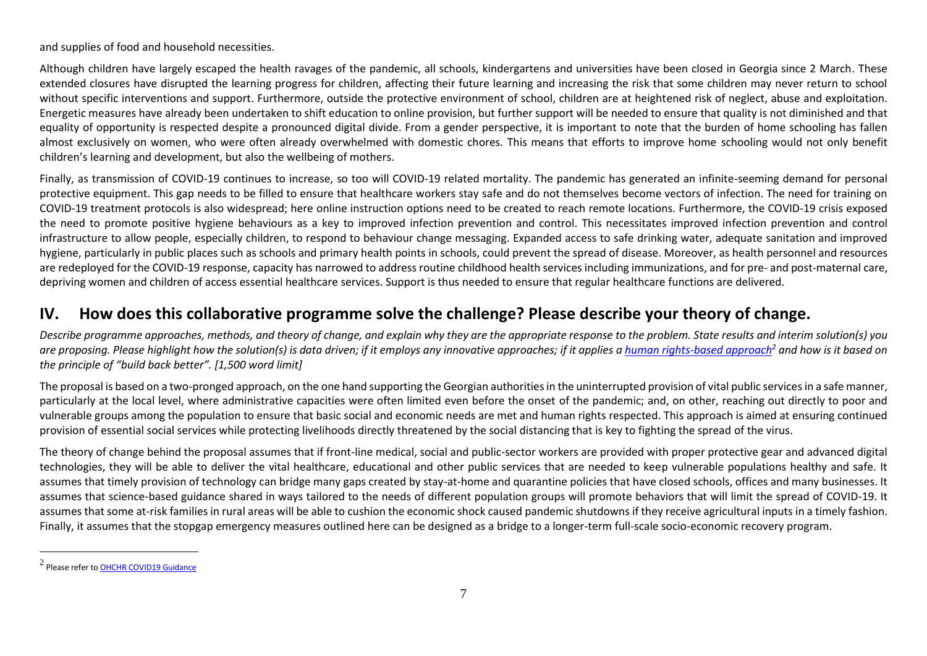and supplies of food and household necessities.

Although children have largely escaped the health ravages of the pandemic, all schools, kindergartens and universities have been closed in Georgia since 2 March. These extended closures have disrupted the learning progress for children, affecting their future learning and increasing the risk that some children may never return to school without specific interventions and support. Furthermore, outside the protective environment of school, children are at heightened risk of neglect, abuse and exploitation. Energetic measures have already been undertaken to shift education to online provision, but further support will be needed to ensure that quality is not diminished and that equality of opportunity is respected despite a pronounced digital divide. From a gender perspective, it is important to note that the burden of home schooling has fallen almost exclusively on women, who were often already overwhelmed with domestic chores. This means that efforts to improve home schooling would not only benefit children's learning and development, but also the wellbeing of mothers.

Finally, as transmission of COVID-19 continues to increase, so too will COVID-19 related mortality. The pandemic has generated an infinite-seeming demand for personal protective equipment. This gap needs to be filled to ensure that healthcare workers stay safe and do not themselves become vectors of infection. The need for training on COVID-19 treatment protocols is also widespread; here online instruction options need to be created to reach remote locations. Furthermore, the COVID-19 crisis exposed the need to promote positive hygiene behaviours as a key to improved infection prevention and control. This necessitates improved infection prevention and control infrastructure to allow people, especially children, to respond to behaviour change messaging. Expanded access to safe drinking water, adequate sanitation and improved hygiene, particularly in public places such as schools and primary health points in schools, could prevent the spread of disease. Moreover, as health personnel and resources are redeployed for the COVID-19 response, capacity has narrowed to address routine childhood health services including immunizations, and for pre- and post-maternal care, depriving women and children of access essential healthcare services. Support is thus needed to ensure that regular healthcare functions are delivered.

#### **IV. How does this collaborative programme solve the challenge? Please describe your theory of change.**

*Describe programme approaches, methods, and theory of change, and explain why they are the appropriate response to the problem. State results and interim solution(s) you*  are proposing. Please highlight how the solution(s) is data driven; if it employs any innovative approaches; if it applies [a human rights-based approach](https://www.ohchr.org/EN/NewsEvents/Pages/COVID19Guidance.aspx)<sup>2</sup> and how is it based on *the principle of "build back better". [1,500 word limit]*

The proposal is based on a two-pronged approach, on the one hand supporting the Georgian authorities in the uninterrupted provision of vital public servicesin a safe manner, particularly at the local level, where administrative capacities were often limited even before the onset of the pandemic; and, on other, reaching out directly to poor and vulnerable groups among the population to ensure that basic social and economic needs are met and human rights respected. This approach is aimed at ensuring continued provision of essential social services while protecting livelihoods directly threatened by the social distancing that is key to fighting the spread of the virus.

The theory of change behind the proposal assumes that if front-line medical, social and public-sector workers are provided with proper protective gear and advanced digital technologies, they will be able to deliver the vital healthcare, educational and other public services that are needed to keep vulnerable populations healthy and safe. It assumes that timely provision of technology can bridge many gaps created by stay-at-home and quarantine policies that have closed schools, offices and many businesses. It assumes that science-based guidance shared in ways tailored to the needs of different population groups will promote behaviors that will limit the spread of COVID-19. It assumes that some at-risk families in rural areas will be able to cushion the economic shock caused pandemic shutdowns if they receive agricultural inputs in a timely fashion. Finally, it assumes that the stopgap emergency measures outlined here can be designed as a bridge to a longer-term full-scale socio-economic recovery program.

<sup>&</sup>lt;sup>2</sup> Please refer to <u>OHCHR COVID19 Guidance</u>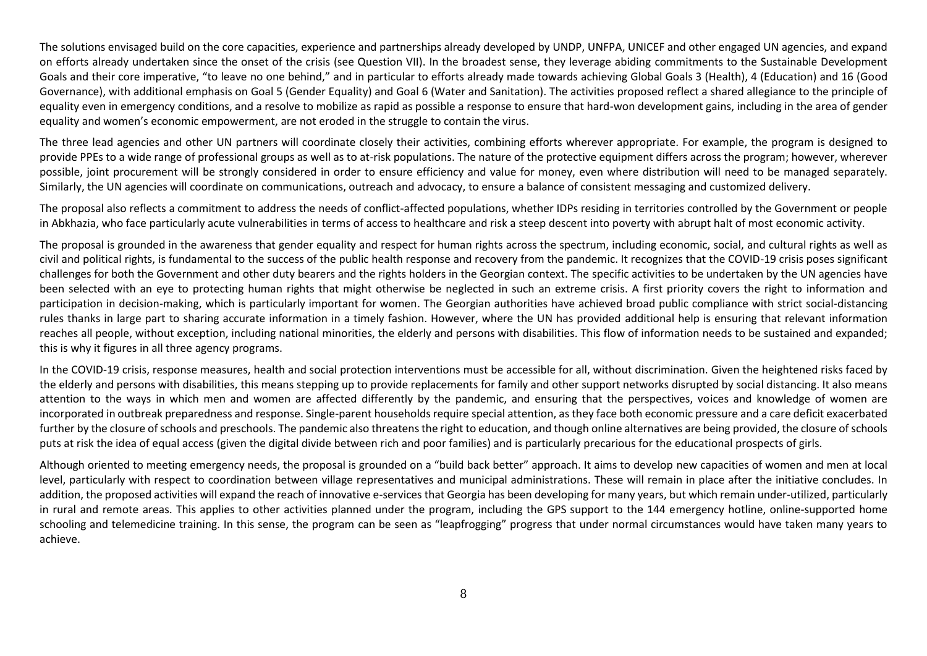The solutions envisaged build on the core capacities, experience and partnerships already developed by UNDP, UNFPA, UNICEF and other engaged UN agencies, and expand on efforts already undertaken since the onset of the crisis (see Question VII). In the broadest sense, they leverage abiding commitments to the Sustainable Development Goals and their core imperative, "to leave no one behind," and in particular to efforts already made towards achieving Global Goals 3 (Health), 4 (Education) and 16 (Good Governance), with additional emphasis on Goal 5 (Gender Equality) and Goal 6 (Water and Sanitation). The activities proposed reflect a shared allegiance to the principle of equality even in emergency conditions, and a resolve to mobilize as rapid as possible a response to ensure that hard-won development gains, including in the area of gender equality and women's economic empowerment, are not eroded in the struggle to contain the virus.

The three lead agencies and other UN partners will coordinate closely their activities, combining efforts wherever appropriate. For example, the program is designed to provide PPEs to a wide range of professional groups as well as to at-risk populations. The nature of the protective equipment differs across the program; however, wherever possible, joint procurement will be strongly considered in order to ensure efficiency and value for money, even where distribution will need to be managed separately. Similarly, the UN agencies will coordinate on communications, outreach and advocacy, to ensure a balance of consistent messaging and customized delivery.

The proposal also reflects a commitment to address the needs of conflict-affected populations, whether IDPs residing in territories controlled by the Government or people in Abkhazia, who face particularly acute vulnerabilities in terms of access to healthcare and risk a steep descent into poverty with abrupt halt of most economic activity.

The proposal is grounded in the awareness that gender equality and respect for human rights across the spectrum, including economic, social, and cultural rights as well as civil and political rights, is fundamental to the success of the public health response and recovery from the pandemic. It recognizes that the COVID-19 crisis poses significant challenges for both the Government and other duty bearers and the rights holders in the Georgian context. The specific activities to be undertaken by the UN agencies have been selected with an eye to protecting human rights that might otherwise be neglected in such an extreme crisis. A first priority covers the right to information and participation in decision-making, which is particularly important for women. The Georgian authorities have achieved broad public compliance with strict social-distancing rules thanks in large part to sharing accurate information in a timely fashion. However, where the UN has provided additional help is ensuring that relevant information reaches all people, without exception, including national minorities, the elderly and persons with disabilities. This flow of information needs to be sustained and expanded; this is why it figures in all three agency programs.

In the COVID-19 crisis, response measures, health and social protection interventions must be accessible for all, without discrimination. Given the heightened risks faced by the elderly and persons with disabilities, this means stepping up to provide replacements for family and other support networks disrupted by social distancing. It also means attention to the ways in which men and women are affected differently by the pandemic, and ensuring that the perspectives, voices and knowledge of women are incorporated in outbreak preparedness and response. Single-parent households require special attention, as they face both economic pressure and a care deficit exacerbated further by the closure of schools and preschools. The pandemic also threatens the right to education, and though online alternatives are being provided, the closure of schools puts at risk the idea of equal access (given the digital divide between rich and poor families) and is particularly precarious for the educational prospects of girls.

Although oriented to meeting emergency needs, the proposal is grounded on a "build back better" approach. It aims to develop new capacities of women and men at local level, particularly with respect to coordination between village representatives and municipal administrations. These will remain in place after the initiative concludes. In addition, the proposed activities will expand the reach of innovative e-services that Georgia has been developing for many years, but which remain under-utilized, particularly in rural and remote areas. This applies to other activities planned under the program, including the GPS support to the 144 emergency hotline, online-supported home schooling and telemedicine training. In this sense, the program can be seen as "leapfrogging" progress that under normal circumstances would have taken many years to achieve.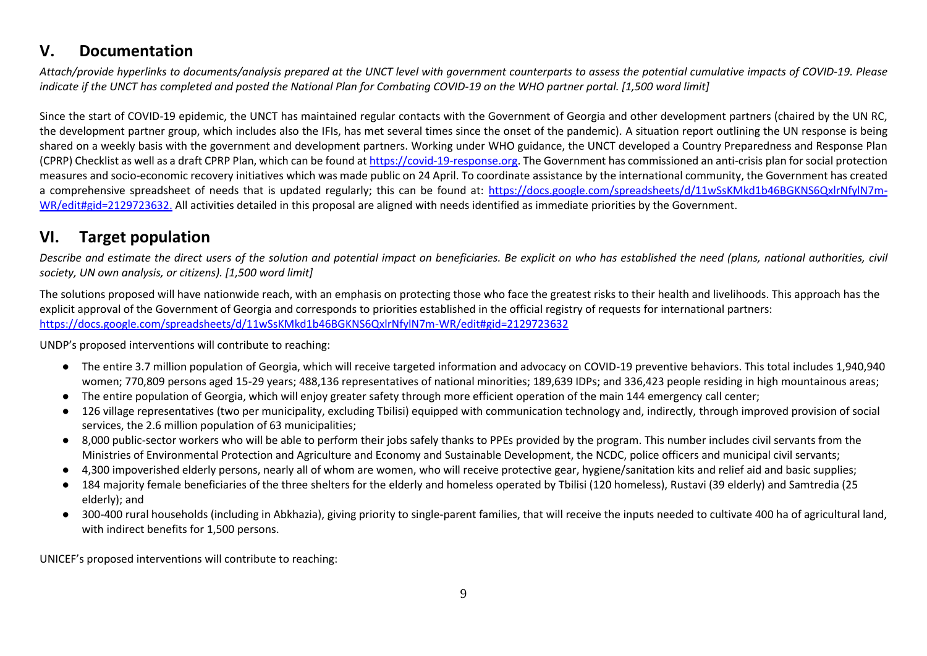#### **V. Documentation**

*Attach/provide hyperlinks to documents/analysis prepared at the UNCT level with government counterparts to assess the potential cumulative impacts of COVID-19. Please indicate if the UNCT has completed and posted the National Plan for Combating COVID-19 on the WHO partner portal. [1,500 word limit]*

Since the start of COVID-19 epidemic, the UNCT has maintained regular contacts with the Government of Georgia and other development partners (chaired by the UN RC, the development partner group, which includes also the IFIs, has met several times since the onset of the pandemic). A situation report outlining the UN response is being shared on a weekly basis with the government and development partners. Working under WHO guidance, the UNCT developed a Country Preparedness and Response Plan (CPRP) Checklist as well as a draft CPRP Plan, which can be found a[t https://covid-19-response.org.](https://covid-19-response.org/) The Government has commissioned an anti-crisis plan for social protection measures and socio-economic recovery initiatives which was made public on 24 April. To coordinate assistance by the international community, the Government has created a comprehensive spreadsheet of needs that is updated regularly: this can be found at: [https://docs.google.com/spreadsheets/d/11wSsKMkd1b46BGKNS6QxlrNfylN7m-](https://eur03.safelinks.protection.outlook.com/?url=https%3A%2F%2Fdocs.google.com%2Fspreadsheets%2Fd%2F11wSsKMkd1b46BGKNS6QxlrNfylN7m-WR%2Fedit%23gid%3D2129723632&data=02%7C01%7Cnino.kakubava%40undp.org%7C3d564f07993b47b763e108d7e6c19344%7Cb3e5db5e2944483799f57488ace54319%7C0%7C0%7C637231591380331111&sdata=L8l4bYhV82964bkCfGGkwmjkIxqaW7GCRDb7%2FpIhdC8%3D&reserved=0)[WR/edit#gid=2129723632.](https://eur03.safelinks.protection.outlook.com/?url=https%3A%2F%2Fdocs.google.com%2Fspreadsheets%2Fd%2F11wSsKMkd1b46BGKNS6QxlrNfylN7m-WR%2Fedit%23gid%3D2129723632&data=02%7C01%7Cnino.kakubava%40undp.org%7C3d564f07993b47b763e108d7e6c19344%7Cb3e5db5e2944483799f57488ace54319%7C0%7C0%7C637231591380331111&sdata=L8l4bYhV82964bkCfGGkwmjkIxqaW7GCRDb7%2FpIhdC8%3D&reserved=0) All activities detailed in this proposal are aligned with needs identified as immediate priorities by the Government.

## **VI. Target population**

*Describe and estimate the direct users of the solution and potential impact on beneficiaries. Be explicit on who has established the need (plans, national authorities, civil society, UN own analysis, or citizens). [1,500 word limit]*

The solutions proposed will have nationwide reach, with an emphasis on protecting those who face the greatest risks to their health and livelihoods. This approach has the explicit approval of the Government of Georgia and corresponds to priorities established in the official registry of requests for international partners: [https://docs.google.com/spreadsheets/d/11wSsKMkd1b46BGKNS6QxlrNfylN7m-WR/edit#gid=2129723632](https://eur03.safelinks.protection.outlook.com/?url=https%3A%2F%2Fdocs.google.com%2Fspreadsheets%2Fd%2F11wSsKMkd1b46BGKNS6QxlrNfylN7m-WR%2Fedit%23gid%3D2129723632&data=02%7C01%7Cnino.kakubava%40undp.org%7C3d564f07993b47b763e108d7e6c19344%7Cb3e5db5e2944483799f57488ace54319%7C0%7C0%7C637231591380331111&sdata=L8l4bYhV82964bkCfGGkwmjkIxqaW7GCRDb7%2FpIhdC8%3D&reserved=0)

UNDP's proposed interventions will contribute to reaching:

- The entire 3.7 million population of Georgia, which will receive targeted information and advocacy on COVID-19 preventive behaviors. This total includes 1,940,940 women; 770,809 persons aged 15-29 years; 488,136 representatives of national minorities; 189,639 IDPs; and 336,423 people residing in high mountainous areas;
- The entire population of Georgia, which will enjoy greater safety through more efficient operation of the main 144 emergency call center;
- 126 village representatives (two per municipality, excluding Tbilisi) equipped with communication technology and, indirectly, through improved provision of social services, the 2.6 million population of 63 municipalities;
- 8,000 public-sector workers who will be able to perform their jobs safely thanks to PPEs provided by the program. This number includes civil servants from the Ministries of Environmental Protection and Agriculture and Economy and Sustainable Development, the NCDC, police officers and municipal civil servants;
- 4,300 impoverished elderly persons, nearly all of whom are women, who will receive protective gear, hygiene/sanitation kits and relief aid and basic supplies;
- 184 majority female beneficiaries of the three shelters for the elderly and homeless operated by Tbilisi (120 homeless), Rustavi (39 elderly) and Samtredia (25 elderly); and
- 300-400 rural households (including in Abkhazia), giving priority to single-parent families, that will receive the inputs needed to cultivate 400 ha of agricultural land, with indirect benefits for 1,500 persons.

UNICEF's proposed interventions will contribute to reaching: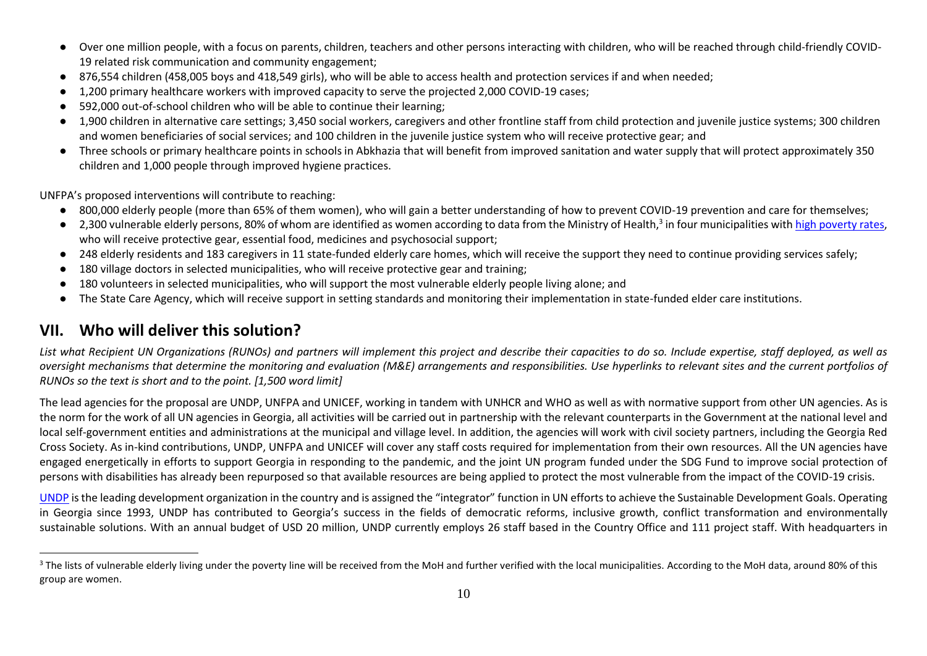- Over one million people, with a focus on parents, children, teachers and other persons interacting with children, who will be reached through child-friendly COVID-19 related risk communication and community engagement;
- 876,554 children (458,005 boys and 418,549 girls), who will be able to access health and protection services if and when needed;
- 1,200 primary healthcare workers with improved capacity to serve the projected 2,000 COVID-19 cases;
- 592,000 out-of-school children who will be able to continue their learning;
- 1,900 children in alternative care settings; 3,450 social workers, caregivers and other frontline staff from child protection and juvenile justice systems; 300 children and women beneficiaries of social services; and 100 children in the juvenile justice system who will receive protective gear; and
- Three schools or primary healthcare points in schools in Abkhazia that will benefit from improved sanitation and water supply that will protect approximately 350 children and 1,000 people through improved hygiene practices.

UNFPA's proposed interventions will contribute to reaching:

- 800,000 elderly people (more than 65% of them women), who will gain a better understanding of how to prevent COVID-19 prevention and care for themselves;
- 2,300 vulnerable elderly persons, 80% of whom are identified as women according to data from the Ministry of Health,<sup>3</sup> in four municipalities wit[h high poverty rates,](http://../Downloads/Target%20regions%20and%20municipalities%20were%20selected%20according%20to%20the%20Poverty%20Mapping%20in%20Georgia,%202019,%20WB.%20%20http:/documents.worldbank.org/curated/en/807211559680835261/pdf/Poverty-Mapping-in-Georgia.pdf) who will receive protective gear, essential food, medicines and psychosocial support;
- 248 elderly residents and 183 caregivers in 11 state-funded elderly care homes, which will receive the support they need to continue providing services safely;
- 180 village doctors in selected municipalities, who will receive protective gear and training;
- 180 volunteers in selected municipalities, who will support the most vulnerable elderly people living alone; and
- The State Care Agency, which will receive support in setting standards and monitoring their implementation in state-funded elder care institutions.

### **VII. Who will deliver this solution?**

*List what Recipient UN Organizations (RUNOs) and partners will implement this project and describe their capacities to do so. Include expertise, staff deployed, as well as oversight mechanisms that determine the monitoring and evaluation (M&E) arrangements and responsibilities. Use hyperlinks to relevant sites and the current portfolios of RUNOs so the text is short and to the point. [1,500 word limit]*

The lead agencies for the proposal are UNDP, UNFPA and UNICEF, working in tandem with UNHCR and WHO as well as with normative support from other UN agencies. As is the norm for the work of all UN agencies in Georgia, all activities will be carried out in partnership with the relevant counterparts in the Government at the national level and local self-government entities and administrations at the municipal and village level. In addition, the agencies will work with civil society partners, including the Georgia Red Cross Society. As in-kind contributions, UNDP, UNFPA and UNICEF will cover any staff costs required for implementation from their own resources. All the UN agencies have engaged energetically in efforts to support Georgia in responding to the pandemic, and the joint UN program funded under the SDG Fund to improve social protection of persons with disabilities has already been repurposed so that available resources are being applied to protect the most vulnerable from the impact of the COVID-19 crisis.

[UNDP](https://www.ge.undp.org/) is the leading development organization in the country and is assigned the "integrator" function in UN efforts to achieve the Sustainable Development Goals. Operating in Georgia since 1993, UNDP has contributed to Georgia's success in the fields of democratic reforms, inclusive growth, conflict transformation and environmentally sustainable solutions. With an annual budget of USD 20 million, UNDP currently employs 26 staff based in the Country Office and 111 project staff. With headquarters in

<sup>&</sup>lt;sup>3</sup> The lists of vulnerable elderly living under the poverty line will be received from the MoH and further verified with the local municipalities. According to the MoH data, around 80% of this group are women.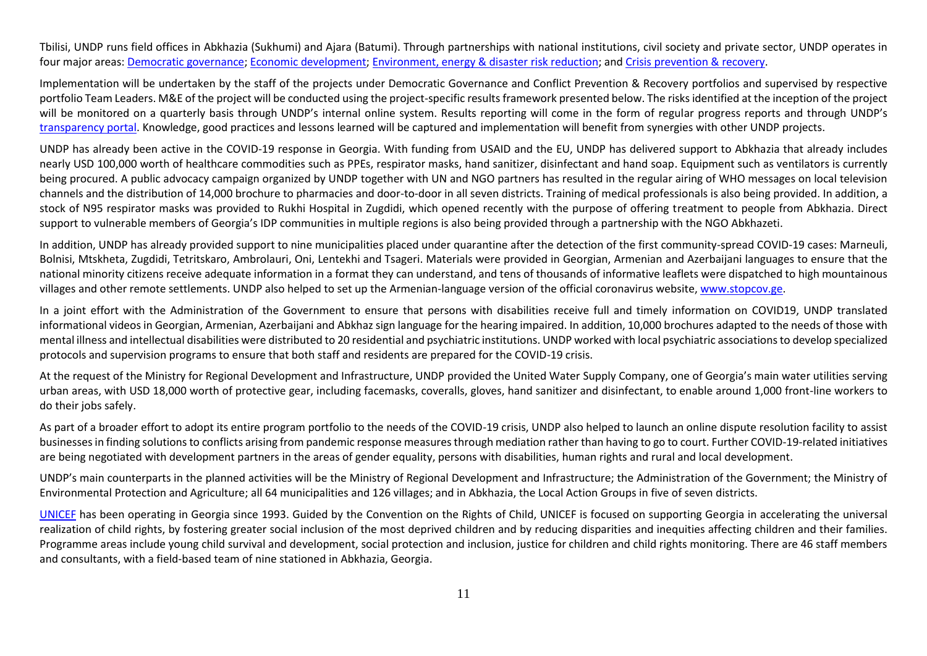Tbilisi, UNDP runs field offices in Abkhazia (Sukhumi) and Ajara (Batumi). Through partnerships with national institutions, civil society and private sector, UNDP operates in four major areas[: Democratic governance;](https://eur03.safelinks.protection.outlook.com/?url=https%3A%2F%2Fwww.ge.undp.org%2Fcontent%2Fgeorgia%2Fen%2Fhome%2Fdemocratic-governance.html&data=02%7C01%7Cnino.kakubava%40undp.org%7Cc619577e9aea45d863de08d7e5fb0c86%7Cb3e5db5e2944483799f57488ace54319%7C0%7C0%7C637230738721482143&sdata=j3LlQzDryF0f4SW0LltgIcSoKNKeZxe8v1ubTpyVVUY%3D&reserved=0) [Economic development;](https://eur03.safelinks.protection.outlook.com/?url=https%3A%2F%2Fwww.ge.undp.org%2Fcontent%2Fgeorgia%2Fen%2Fhome%2Feconomic-development.html&data=02%7C01%7Cnino.kakubava%40undp.org%7Cc619577e9aea45d863de08d7e5fb0c86%7Cb3e5db5e2944483799f57488ace54319%7C0%7C0%7C637230738721492146&sdata=A0S432oaQaCiqSy35SlU3xCHd7P7HoKlzuXXbcbsSU4%3D&reserved=0) [Environment, energy & disaster risk reduction;](https://www.ge.undp.org/content/georgia/en/home/environment-and-energy.html) and [Crisis prevention & recovery.](https://eur03.safelinks.protection.outlook.com/?url=https%3A%2F%2Fwww.ge.undp.org%2Fcontent%2Fgeorgia%2Fen%2Fhome%2Fcrisis-prevention-and-recovery.html&data=02%7C01%7Cnino.kakubava%40undp.org%7Cc619577e9aea45d863de08d7e5fb0c86%7Cb3e5db5e2944483799f57488ace54319%7C0%7C0%7C637230738721502134&sdata=SB2XRx%2B9aO2Uk8X4eL4u2OcUQAUNimeZBAlTV1Ymhp0%3D&reserved=0)

Implementation will be undertaken by the staff of the projects under Democratic Governance and Conflict Prevention & Recovery portfolios and supervised by respective portfolio Team Leaders. M&E of the project will be conducted using the project-specific results framework presented below. The risks identified at the inception of the project will be monitored on a quarterly basis through UNDP's internal online system. Results reporting will come in the form of regular progress reports and through UNDP's [transparency portal.](http://../Downloads/open.undp.org) Knowledge, good practices and lessons learned will be captured and implementation will benefit from synergies with other UNDP projects.

UNDP has already been active in the COVID-19 response in Georgia. With funding from USAID and the EU, UNDP has delivered support to Abkhazia that already includes nearly USD 100,000 worth of healthcare commodities such as PPEs, respirator masks, hand sanitizer, disinfectant and hand soap. Equipment such as ventilators is currently being procured. A public advocacy campaign organized by UNDP together with UN and NGO partners has resulted in the regular airing of WHO messages on local television channels and the distribution of 14,000 brochure to pharmacies and door-to-door in all seven districts. Training of medical professionals is also being provided. In addition, a stock of N95 respirator masks was provided to Rukhi Hospital in Zugdidi, which opened recently with the purpose of offering treatment to people from Abkhazia. Direct support to vulnerable members of Georgia's IDP communities in multiple regions is also being provided through a partnership with the NGO Abkhazeti.

In addition, UNDP has already provided support to nine municipalities placed under quarantine after the detection of the first community-spread COVID-19 cases: Marneuli, Bolnisi, Mtskheta, Zugdidi, Tetritskaro, Ambrolauri, Oni, Lentekhi and Tsageri. Materials were provided in Georgian, Armenian and Azerbaijani languages to ensure that the national minority citizens receive adequate information in a format they can understand, and tens of thousands of informative leaflets were dispatched to high mountainous villages and other remote settlements. UNDP also helped to set up the Armenian-language version of the official coronavirus website, [www.stopcov.ge.](http://www.stopcov.ge/)

In a joint effort with the Administration of the Government to ensure that persons with disabilities receive full and timely information on COVID19, UNDP translated informational videos in Georgian, Armenian, Azerbaijani and Abkhaz sign language for the hearing impaired. In addition, 10,000 brochures adapted to the needs of those with mental illness and intellectual disabilities were distributed to 20 residential and psychiatric institutions. UNDP worked with local psychiatric associations to develop specialized protocols and supervision programs to ensure that both staff and residents are prepared for the COVID-19 crisis.

At the request of the Ministry for Regional Development and Infrastructure, UNDP provided the United Water Supply Company, one of Georgia's main water utilities serving urban areas, with USD 18,000 worth of protective gear, including facemasks, coveralls, gloves, hand sanitizer and disinfectant, to enable around 1,000 front-line workers to do their jobs safely.

As part of a broader effort to adopt its entire program portfolio to the needs of the COVID-19 crisis, UNDP also helped to launch an online dispute resolution facility to assist businesses in finding solutions to conflicts arising from pandemic response measures through mediation rather than having to go to court. Further COVID-19-related initiatives are being negotiated with development partners in the areas of gender equality, persons with disabilities, human rights and rural and local development.

UNDP's main counterparts in the planned activities will be the Ministry of Regional Development and Infrastructure; the Administration of the Government; the Ministry of Environmental Protection and Agriculture; all 64 municipalities and 126 villages; and in Abkhazia, the Local Action Groups in five of seven districts.

[UNICEF](https://www.unicef.org/georgia/) has been operating in Georgia since 1993. Guided by the Convention on the Rights of Child, UNICEF is focused on supporting Georgia in accelerating the universal realization of child rights, by fostering greater social inclusion of the most deprived children and by reducing disparities and inequities affecting children and their families. Programme areas include young child survival and development, social protection and inclusion, justice for children and child rights monitoring. There are 46 staff members and consultants, with a field-based team of nine stationed in Abkhazia, Georgia.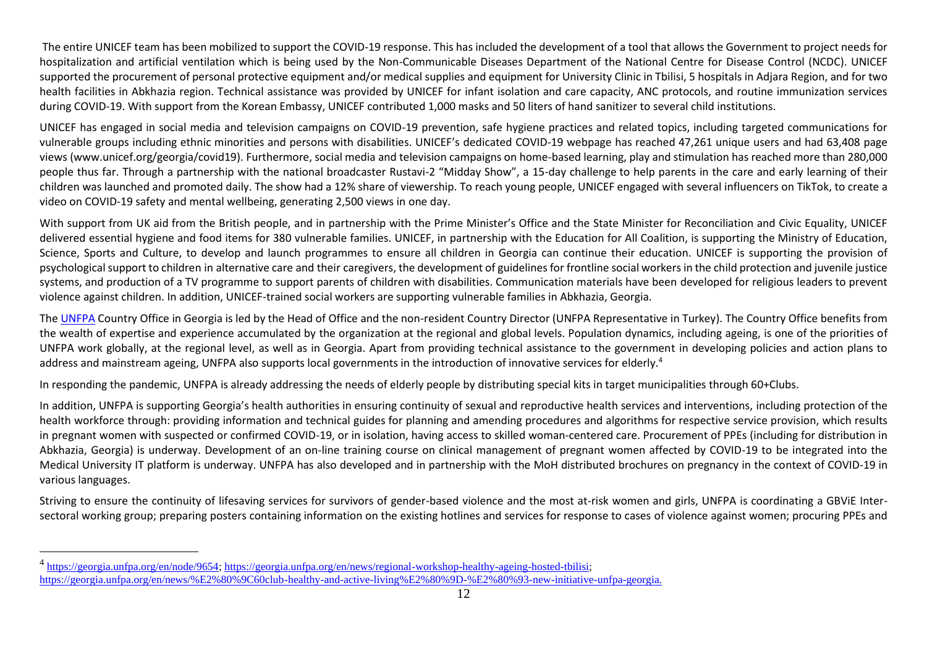The entire UNICEF team has been mobilized to support the COVID-19 response. This has included the development of a tool that allows the Government to project needs for hospitalization and artificial ventilation which is being used by the Non-Communicable Diseases Department of the National Centre for Disease Control (NCDC). UNICEF supported the procurement of personal protective equipment and/or medical supplies and equipment for University Clinic in Tbilisi, 5 hospitals in Adjara Region, and for two health facilities in Abkhazia region. Technical assistance was provided by UNICEF for infant isolation and care capacity, ANC protocols, and routine immunization services during COVID-19. With support from the Korean Embassy, UNICEF contributed 1,000 masks and 50 liters of hand sanitizer to several child institutions.

UNICEF has engaged in social media and television campaigns on COVID-19 prevention, safe hygiene practices and related topics, including targeted communications for vulnerable groups including ethnic minorities and persons with disabilities. UNICEF's dedicated COVID-19 webpage has reached 47,261 unique users and had 63,408 page views [\(www.unicef.org/georgia/covid19\)](http://www.unicef.org/georgia/covid19). Furthermore, social media and television campaigns on home-based learning, play and stimulation has reached more than 280,000 people thus far. Through a partnership with the national broadcaster Rustavi-2 "Midday Show", a 15-day challenge to help parents in the care and early learning of their children was launched and promoted daily. The show had a 12% share of viewership. To reach young people, UNICEF engaged with several influencers on TikTok, to create a video on COVID-19 safety and mental wellbeing, generating 2,500 views in one day.

With support from UK aid from the British people, and in partnership with the Prime Minister's Office and the State Minister for Reconciliation and Civic Equality, UNICEF delivered essential hygiene and food items for 380 vulnerable families. UNICEF, in partnership with the Education for All Coalition, is supporting the Ministry of Education, Science, Sports and Culture, to develop and launch programmes to ensure all children in Georgia can continue their education. UNICEF is supporting the provision of psychological support to children in alternative care and their caregivers, the development of guidelines for frontline social workers in the child protection and juvenile justice systems, and production of a TV programme to support parents of children with disabilities. Communication materials have been developed for religious leaders to prevent violence against children. In addition, UNICEF-trained social workers are supporting vulnerable families in Abkhazia, Georgia.

The [UNFPA](https://georgia.unfpa.org/) Country Office in Georgia is led by the Head of Office and the non-resident Country Director (UNFPA Representative in Turkey). The Country Office benefits from the wealth of expertise and experience accumulated by the organization at the regional and global levels. Population dynamics, including ageing, is one of the priorities of UNFPA work globally, at the regional level, as well as in Georgia. Apart from providing technical assistance to the government in developing policies and action plans to address and mainstream ageing, UNFPA also supports local governments in the introduction of innovative services for elderly.<sup>4</sup>

In responding the pandemic, UNFPA is already addressing the needs of elderly people by distributing special kits in target municipalities through 60+Clubs.

In addition, UNFPA is supporting Georgia's health authorities in ensuring continuity of sexual and reproductive health services and interventions, including protection of the health workforce through: providing information and technical guides for planning and amending procedures and algorithms for respective service provision, which results in pregnant women with suspected or confirmed COVID-19, or in isolation, having access to skilled woman-centered care. Procurement of PPEs (including for distribution in Abkhazia, Georgia) is underway. Development of an on-line training course on clinical management of pregnant women affected by COVID-19 to be integrated into the Medical University IT platform is underway. UNFPA has also developed and in partnership with the MoH distributed brochures on pregnancy in the context of COVID-19 in various languages.

Striving to ensure the continuity of lifesaving services for survivors of gender-based violence and the most at-risk women and girls, UNFPA is coordinating a GBViE Intersectoral working group; preparing posters containing information on the existing hotlines and services for response to cases of violence against women; procuring PPEs and

<sup>&</sup>lt;sup>4</sup> [https://georgia.unfpa.org/en/node/9654;](https://georgia.unfpa.org/en/node/9654) [https://georgia.unfpa.org/en/news/regional-workshop-healthy-ageing-hosted-tbilisi;](https://georgia.unfpa.org/en/news/regional-workshop-healthy-ageing-hosted-tbilisi) [https://georgia.unfpa.org/en/news/%E2%80%9C60club-healthy-and-active-living%E2%80%9D-%E2%80%93-new-initiative-unfpa-georgia.](https://georgia.unfpa.org/en/news/%E2%80%9C60club-healthy-and-active-living%E2%80%9D-%E2%80%93-new-initiative-unfpa-georgia)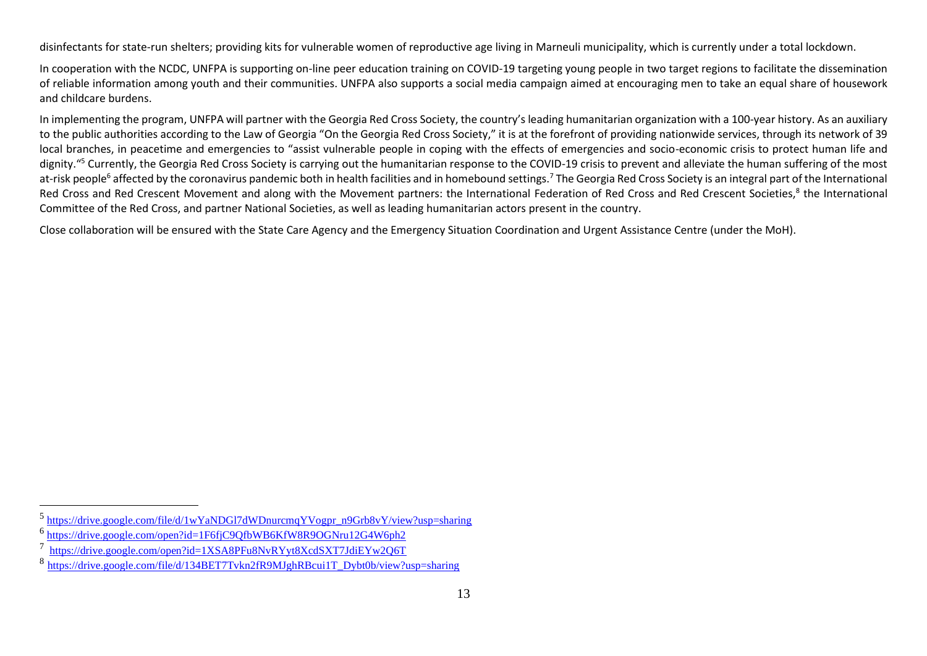disinfectants for state-run shelters; providing kits for vulnerable women of reproductive age living in Marneuli municipality, which is currently under a total lockdown.

In cooperation with the NCDC, UNFPA is supporting on-line peer education training on COVID-19 targeting young people in two target regions to facilitate the dissemination of reliable information among youth and their communities. UNFPA also supports a social media campaign aimed at encouraging men to take an equal share of housework and childcare burdens.

In implementing the program, UNFPA will partner with the Georgia Red Cross Society, the country's leading humanitarian organization with a 100-year history. As an auxiliary to the public authorities according to the Law of Georgia "On the Georgia Red Cross Society," it is at the forefront of providing nationwide services, through its network of 39 local branches, in peacetime and emergencies to "assist vulnerable people in coping with the effects of emergencies and socio-economic crisis to protect human life and dignity."<sup>5</sup> Currently, the Georgia Red Cross Society is carrying out the humanitarian response to the COVID-19 crisis to prevent and alleviate the human suffering of the most at-risk people<sup>6</sup> affected by the coronavirus pandemic both in health facilities and in homebound settings.<sup>7</sup> The Georgia Red Cross Society is an integral part of the International Red Cross and Red Crescent Movement and along with the Movement partners: the International Federation of Red Cross and Red Crescent Societies,<sup>8</sup> the International Committee of the Red Cross, and partner National Societies, as well as leading humanitarian actors present in the country.

Close collaboration will be ensured with the State Care Agency and the Emergency Situation Coordination and Urgent Assistance Centre (under the MoH).

<sup>&</sup>lt;sup>5</sup> [https://drive.google.com/file/d/1wYaNDGl7dWDnurcmqYVogpr\\_n9Grb8vY/view?usp=sharing](https://drive.google.com/file/d/1wYaNDGl7dWDnurcmqYVogpr_n9Grb8vY/view?usp=sharing)

<sup>&</sup>lt;sup>6</sup> <https://drive.google.com/open?id=1F6fjC9QfbWB6KfW8R9OGNru12G4W6ph2>

<sup>&</sup>lt;sup>7</sup> <https://drive.google.com/open?id=1XSA8PFu8NvRYyt8XcdSXT7JdiEYw2Q6T>

<sup>8&</sup>lt;br>[https://drive.google.com/file/d/134BET7Tvkn2fR9MJghRBcui1T\\_Dybt0b/view?usp=sharing](https://drive.google.com/file/d/134BET7Tvkn2fR9MJghRBcui1T_Dybt0b/view?usp=sharing)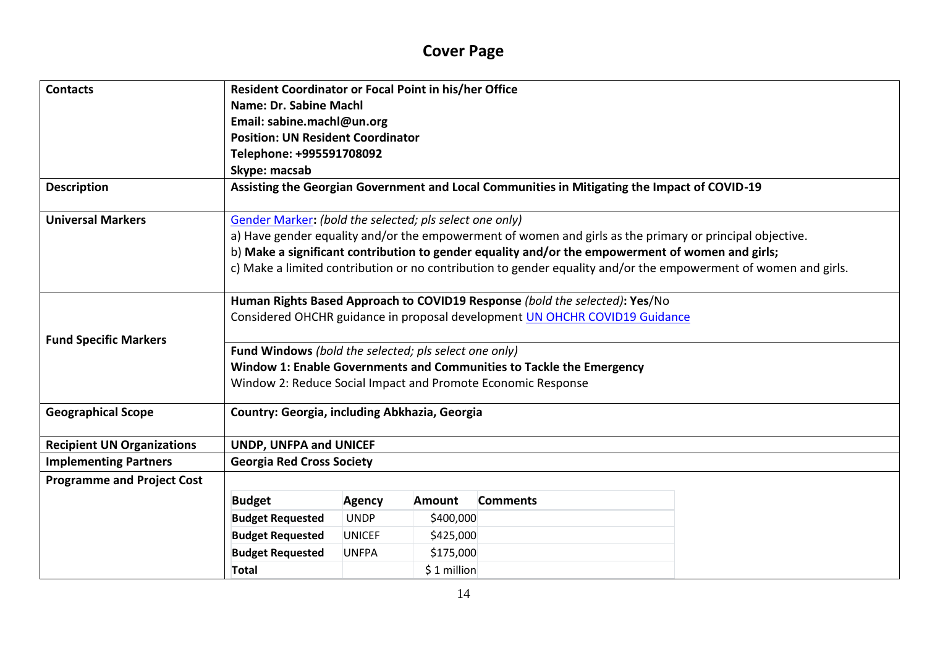# **Cover Page**

| <b>Contacts</b>                   | Resident Coordinator or Focal Point in his/her Office                                        |                                                              |               |                                                                                                                 |  |  |  |  |  |
|-----------------------------------|----------------------------------------------------------------------------------------------|--------------------------------------------------------------|---------------|-----------------------------------------------------------------------------------------------------------------|--|--|--|--|--|
|                                   | Name: Dr. Sabine Machl                                                                       |                                                              |               |                                                                                                                 |  |  |  |  |  |
|                                   | Email: sabine.machl@un.org                                                                   |                                                              |               |                                                                                                                 |  |  |  |  |  |
|                                   | <b>Position: UN Resident Coordinator</b>                                                     |                                                              |               |                                                                                                                 |  |  |  |  |  |
|                                   | Telephone: +995591708092                                                                     |                                                              |               |                                                                                                                 |  |  |  |  |  |
|                                   | Skype: macsab                                                                                |                                                              |               |                                                                                                                 |  |  |  |  |  |
| <b>Description</b>                | Assisting the Georgian Government and Local Communities in Mitigating the Impact of COVID-19 |                                                              |               |                                                                                                                 |  |  |  |  |  |
| <b>Universal Markers</b>          | Gender Marker: (bold the selected; pls select one only)                                      |                                                              |               |                                                                                                                 |  |  |  |  |  |
|                                   |                                                                                              |                                                              |               | a) Have gender equality and/or the empowerment of women and girls as the primary or principal objective.        |  |  |  |  |  |
|                                   |                                                                                              |                                                              |               | b) Make a significant contribution to gender equality and/or the empowerment of women and girls;                |  |  |  |  |  |
|                                   |                                                                                              |                                                              |               | c) Make a limited contribution or no contribution to gender equality and/or the empowerment of women and girls. |  |  |  |  |  |
|                                   |                                                                                              |                                                              |               | Human Rights Based Approach to COVID19 Response (bold the selected): Yes/No                                     |  |  |  |  |  |
|                                   |                                                                                              |                                                              |               | Considered OHCHR guidance in proposal development UN OHCHR COVID19 Guidance                                     |  |  |  |  |  |
| <b>Fund Specific Markers</b>      |                                                                                              |                                                              |               |                                                                                                                 |  |  |  |  |  |
|                                   | Fund Windows (bold the selected; pls select one only)                                        |                                                              |               |                                                                                                                 |  |  |  |  |  |
|                                   |                                                                                              |                                                              |               | Window 1: Enable Governments and Communities to Tackle the Emergency                                            |  |  |  |  |  |
|                                   |                                                                                              | Window 2: Reduce Social Impact and Promote Economic Response |               |                                                                                                                 |  |  |  |  |  |
| <b>Geographical Scope</b>         | Country: Georgia, including Abkhazia, Georgia                                                |                                                              |               |                                                                                                                 |  |  |  |  |  |
| <b>Recipient UN Organizations</b> | <b>UNDP, UNFPA and UNICEF</b>                                                                |                                                              |               |                                                                                                                 |  |  |  |  |  |
| <b>Implementing Partners</b>      | <b>Georgia Red Cross Society</b>                                                             |                                                              |               |                                                                                                                 |  |  |  |  |  |
| <b>Programme and Project Cost</b> |                                                                                              |                                                              |               |                                                                                                                 |  |  |  |  |  |
|                                   | <b>Budget</b>                                                                                | <b>Agency</b>                                                | <b>Amount</b> | <b>Comments</b>                                                                                                 |  |  |  |  |  |
|                                   |                                                                                              |                                                              |               |                                                                                                                 |  |  |  |  |  |
|                                   | <b>Budget Requested</b>                                                                      | <b>UNDP</b>                                                  | \$400,000     |                                                                                                                 |  |  |  |  |  |
|                                   | <b>Budget Requested</b>                                                                      | <b>UNICEF</b>                                                | \$425,000     |                                                                                                                 |  |  |  |  |  |
|                                   | <b>Budget Requested</b>                                                                      | <b>UNFPA</b>                                                 | \$175,000     |                                                                                                                 |  |  |  |  |  |
|                                   | <b>Total</b>                                                                                 |                                                              | \$1 million   |                                                                                                                 |  |  |  |  |  |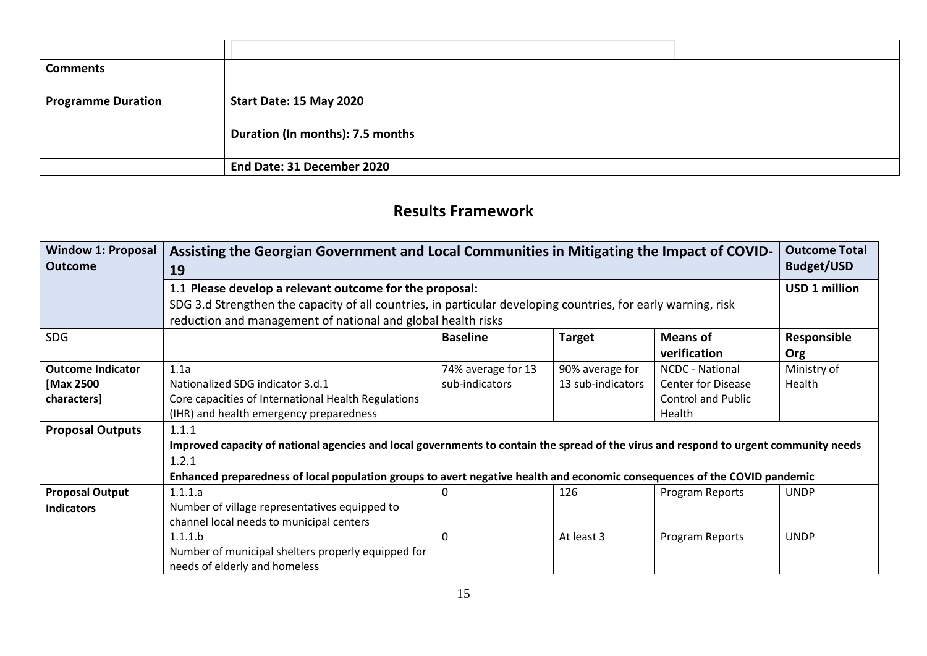| <b>Comments</b>           |                                  |
|---------------------------|----------------------------------|
|                           |                                  |
| <b>Programme Duration</b> | Start Date: 15 May 2020          |
|                           |                                  |
|                           | Duration (In months): 7.5 months |
|                           |                                  |
|                           | End Date: 31 December 2020       |

## **Results Framework**

| <b>Window 1: Proposal</b><br><b>Outcome</b> | <b>Outcome Total</b><br>Assisting the Georgian Government and Local Communities in Mitigating the Impact of COVID-<br><b>Budget/USD</b><br>19 |                    |                   |                           |             |  |  |  |  |  |
|---------------------------------------------|-----------------------------------------------------------------------------------------------------------------------------------------------|--------------------|-------------------|---------------------------|-------------|--|--|--|--|--|
|                                             | <b>USD 1 million</b><br>1.1 Please develop a relevant outcome for the proposal:                                                               |                    |                   |                           |             |  |  |  |  |  |
|                                             | SDG 3.d Strengthen the capacity of all countries, in particular developing countries, for early warning, risk                                 |                    |                   |                           |             |  |  |  |  |  |
|                                             | reduction and management of national and global health risks                                                                                  |                    |                   |                           |             |  |  |  |  |  |
| <b>SDG</b>                                  | Responsible<br><b>Baseline</b><br><b>Target</b><br><b>Means of</b>                                                                            |                    |                   |                           |             |  |  |  |  |  |
|                                             |                                                                                                                                               |                    |                   | verification              | <b>Org</b>  |  |  |  |  |  |
| <b>Outcome Indicator</b>                    | 1.1a                                                                                                                                          | 74% average for 13 | 90% average for   | <b>NCDC - National</b>    | Ministry of |  |  |  |  |  |
| [Max 2500                                   | Nationalized SDG indicator 3.d.1                                                                                                              | sub-indicators     | 13 sub-indicators | <b>Center for Disease</b> | Health      |  |  |  |  |  |
| characters]                                 | Core capacities of International Health Regulations                                                                                           |                    |                   | <b>Control and Public</b> |             |  |  |  |  |  |
|                                             | (IHR) and health emergency preparedness                                                                                                       |                    |                   | Health                    |             |  |  |  |  |  |
| <b>Proposal Outputs</b>                     | 1.1.1                                                                                                                                         |                    |                   |                           |             |  |  |  |  |  |
|                                             | Improved capacity of national agencies and local governments to contain the spread of the virus and respond to urgent community needs         |                    |                   |                           |             |  |  |  |  |  |
|                                             | 1.2.1                                                                                                                                         |                    |                   |                           |             |  |  |  |  |  |
|                                             | Enhanced preparedness of local population groups to avert negative health and economic consequences of the COVID pandemic                     |                    |                   |                           |             |  |  |  |  |  |
| <b>Proposal Output</b>                      | 1.1.1.a                                                                                                                                       | 0                  | 126               | Program Reports           | <b>UNDP</b> |  |  |  |  |  |
| <b>Indicators</b>                           | Number of village representatives equipped to                                                                                                 |                    |                   |                           |             |  |  |  |  |  |
|                                             | channel local needs to municipal centers                                                                                                      |                    |                   |                           |             |  |  |  |  |  |
|                                             | 1.1.1.b                                                                                                                                       | 0                  | At least 3        | Program Reports           | <b>UNDP</b> |  |  |  |  |  |
|                                             | Number of municipal shelters properly equipped for                                                                                            |                    |                   |                           |             |  |  |  |  |  |
|                                             | needs of elderly and homeless                                                                                                                 |                    |                   |                           |             |  |  |  |  |  |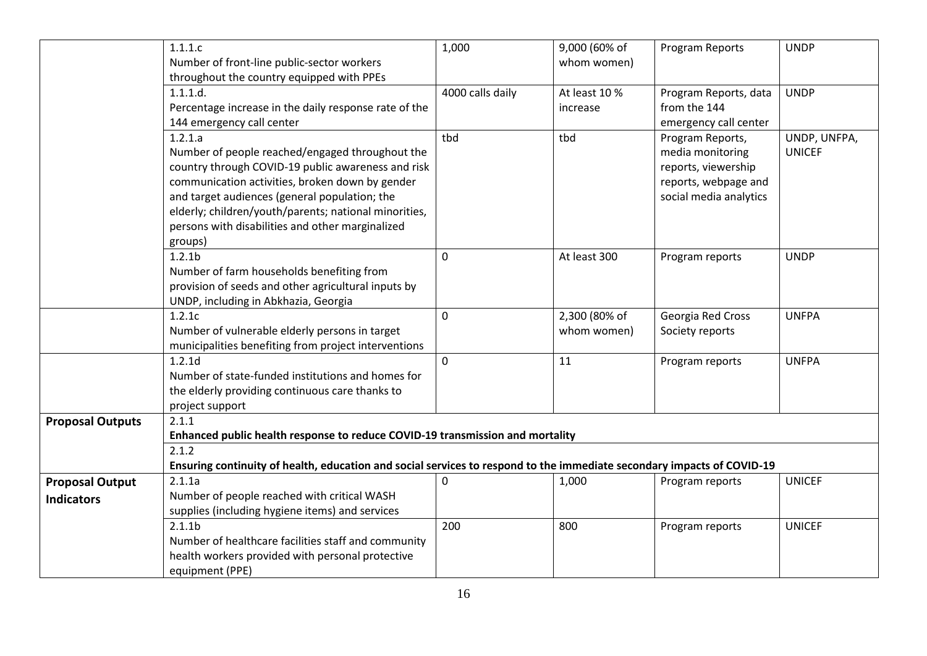|                         | 1.1.1.c                                                                                                                | 1,000            | 9,000 (60% of | Program Reports        | <b>UNDP</b>   |
|-------------------------|------------------------------------------------------------------------------------------------------------------------|------------------|---------------|------------------------|---------------|
|                         | Number of front-line public-sector workers                                                                             |                  | whom women)   |                        |               |
|                         | throughout the country equipped with PPEs                                                                              |                  |               |                        |               |
|                         | 1.1.1.d.                                                                                                               | 4000 calls daily | At least 10 % | Program Reports, data  | <b>UNDP</b>   |
|                         | Percentage increase in the daily response rate of the                                                                  |                  | increase      | from the 144           |               |
|                         | 144 emergency call center                                                                                              |                  |               | emergency call center  |               |
|                         | 1.2.1.a                                                                                                                | tbd              | tbd           | Program Reports,       | UNDP, UNFPA,  |
|                         | Number of people reached/engaged throughout the                                                                        |                  |               | media monitoring       | <b>UNICEF</b> |
|                         | country through COVID-19 public awareness and risk                                                                     |                  |               | reports, viewership    |               |
|                         | communication activities, broken down by gender                                                                        |                  |               | reports, webpage and   |               |
|                         | and target audiences (general population; the                                                                          |                  |               | social media analytics |               |
|                         | elderly; children/youth/parents; national minorities,                                                                  |                  |               |                        |               |
|                         | persons with disabilities and other marginalized                                                                       |                  |               |                        |               |
|                         | groups)                                                                                                                |                  |               |                        |               |
|                         | 1.2.1 <sub>b</sub>                                                                                                     | 0                | At least 300  | Program reports        | <b>UNDP</b>   |
|                         | Number of farm households benefiting from                                                                              |                  |               |                        |               |
|                         | provision of seeds and other agricultural inputs by                                                                    |                  |               |                        |               |
|                         | UNDP, including in Abkhazia, Georgia                                                                                   |                  |               |                        |               |
|                         | 1.2.1c                                                                                                                 | 0                | 2,300 (80% of | Georgia Red Cross      | <b>UNFPA</b>  |
|                         | Number of vulnerable elderly persons in target                                                                         |                  | whom women)   | Society reports        |               |
|                         | municipalities benefiting from project interventions                                                                   |                  |               |                        |               |
|                         | 1.2.1d                                                                                                                 | $\overline{0}$   | 11            | Program reports        | <b>UNFPA</b>  |
|                         | Number of state-funded institutions and homes for                                                                      |                  |               |                        |               |
|                         | the elderly providing continuous care thanks to                                                                        |                  |               |                        |               |
|                         | project support                                                                                                        |                  |               |                        |               |
| <b>Proposal Outputs</b> | 2.1.1                                                                                                                  |                  |               |                        |               |
|                         | Enhanced public health response to reduce COVID-19 transmission and mortality                                          |                  |               |                        |               |
|                         | 2.1.2                                                                                                                  |                  |               |                        |               |
|                         | Ensuring continuity of health, education and social services to respond to the immediate secondary impacts of COVID-19 |                  |               |                        |               |
| <b>Proposal Output</b>  | 2.1.1a                                                                                                                 | 0                | 1,000         | Program reports        | <b>UNICEF</b> |
| <b>Indicators</b>       | Number of people reached with critical WASH                                                                            |                  |               |                        |               |
|                         | supplies (including hygiene items) and services                                                                        |                  |               |                        |               |
|                         | 2.1.1 <sub>b</sub>                                                                                                     | 200              | 800           | Program reports        | <b>UNICEF</b> |
|                         | Number of healthcare facilities staff and community                                                                    |                  |               |                        |               |
|                         | health workers provided with personal protective                                                                       |                  |               |                        |               |
|                         | equipment (PPE)                                                                                                        |                  |               |                        |               |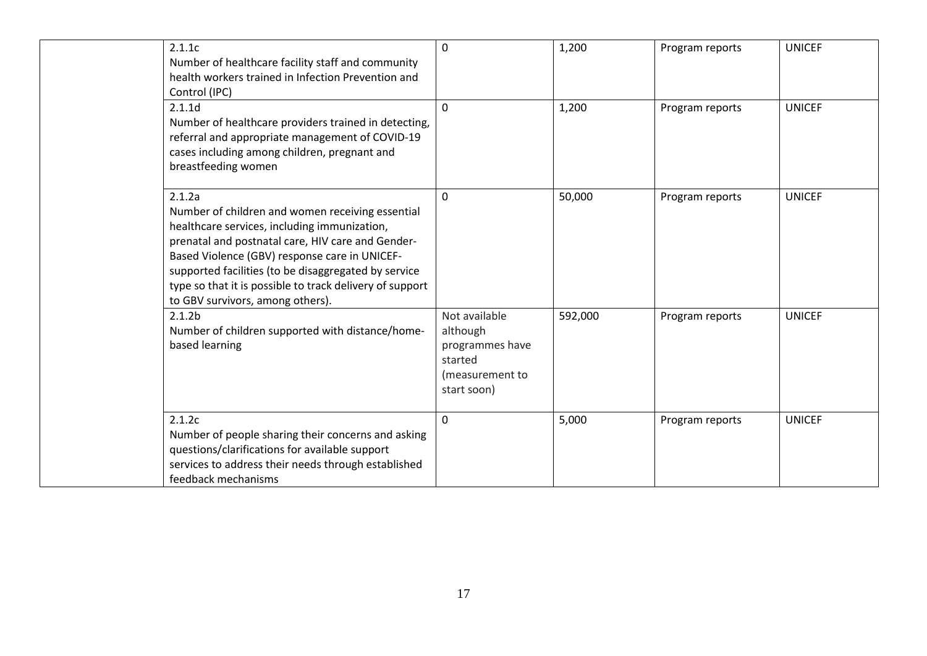| 2.1.1c<br>Number of healthcare facility staff and community<br>health workers trained in Infection Prevention and<br>Control (IPC)                                                                                                                                                                                                                                       | 0                                                                                         | 1,200   | Program reports | <b>UNICEF</b> |
|--------------------------------------------------------------------------------------------------------------------------------------------------------------------------------------------------------------------------------------------------------------------------------------------------------------------------------------------------------------------------|-------------------------------------------------------------------------------------------|---------|-----------------|---------------|
| 2.1.1d<br>Number of healthcare providers trained in detecting,<br>referral and appropriate management of COVID-19<br>cases including among children, pregnant and<br>breastfeeding women                                                                                                                                                                                 | $\Omega$                                                                                  | 1,200   | Program reports | <b>UNICEF</b> |
| 2.1.2a<br>Number of children and women receiving essential<br>healthcare services, including immunization,<br>prenatal and postnatal care, HIV care and Gender-<br>Based Violence (GBV) response care in UNICEF-<br>supported facilities (to be disaggregated by service<br>type so that it is possible to track delivery of support<br>to GBV survivors, among others). | $\Omega$                                                                                  | 50,000  | Program reports | <b>UNICEF</b> |
| 2.1.2 <sub>b</sub><br>Number of children supported with distance/home-<br>based learning                                                                                                                                                                                                                                                                                 | Not available<br>although<br>programmes have<br>started<br>(measurement to<br>start soon) | 592,000 | Program reports | <b>UNICEF</b> |
| 2.1.2c<br>Number of people sharing their concerns and asking<br>questions/clarifications for available support<br>services to address their needs through established<br>feedback mechanisms                                                                                                                                                                             | 0                                                                                         | 5,000   | Program reports | <b>UNICEF</b> |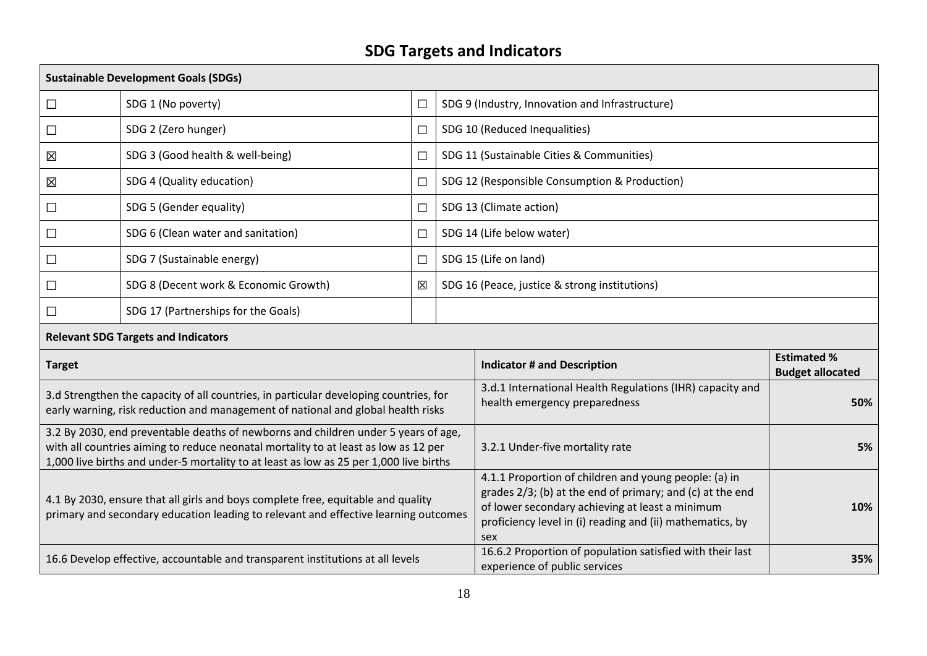# **SDG Targets and Indicators**

| <b>Sustainable Development Goals (SDGs)</b>                                                                                                                                                                                                                         |                                       |        |                                               |                                                                                                                                                                                                                                           |                                               |  |  |  |  |
|---------------------------------------------------------------------------------------------------------------------------------------------------------------------------------------------------------------------------------------------------------------------|---------------------------------------|--------|-----------------------------------------------|-------------------------------------------------------------------------------------------------------------------------------------------------------------------------------------------------------------------------------------------|-----------------------------------------------|--|--|--|--|
| $\Box$                                                                                                                                                                                                                                                              | SDG 1 (No poverty)                    | $\Box$ |                                               | SDG 9 (Industry, Innovation and Infrastructure)                                                                                                                                                                                           |                                               |  |  |  |  |
| $\Box$                                                                                                                                                                                                                                                              | SDG 2 (Zero hunger)                   | $\Box$ |                                               | SDG 10 (Reduced Inequalities)                                                                                                                                                                                                             |                                               |  |  |  |  |
| 区                                                                                                                                                                                                                                                                   | SDG 3 (Good health & well-being)      | $\Box$ |                                               | SDG 11 (Sustainable Cities & Communities)                                                                                                                                                                                                 |                                               |  |  |  |  |
| 区                                                                                                                                                                                                                                                                   | SDG 4 (Quality education)             | $\Box$ |                                               | SDG 12 (Responsible Consumption & Production)                                                                                                                                                                                             |                                               |  |  |  |  |
| $\Box$                                                                                                                                                                                                                                                              | SDG 5 (Gender equality)               | $\Box$ |                                               | SDG 13 (Climate action)                                                                                                                                                                                                                   |                                               |  |  |  |  |
| $\Box$                                                                                                                                                                                                                                                              | SDG 6 (Clean water and sanitation)    | $\Box$ |                                               | SDG 14 (Life below water)                                                                                                                                                                                                                 |                                               |  |  |  |  |
| $\Box$                                                                                                                                                                                                                                                              | SDG 7 (Sustainable energy)            | $\Box$ | SDG 15 (Life on land)                         |                                                                                                                                                                                                                                           |                                               |  |  |  |  |
| $\Box$                                                                                                                                                                                                                                                              | SDG 8 (Decent work & Economic Growth) | 区      | SDG 16 (Peace, justice & strong institutions) |                                                                                                                                                                                                                                           |                                               |  |  |  |  |
| $\Box$                                                                                                                                                                                                                                                              | SDG 17 (Partnerships for the Goals)   |        |                                               |                                                                                                                                                                                                                                           |                                               |  |  |  |  |
| <b>Relevant SDG Targets and Indicators</b>                                                                                                                                                                                                                          |                                       |        |                                               |                                                                                                                                                                                                                                           |                                               |  |  |  |  |
| <b>Target</b>                                                                                                                                                                                                                                                       |                                       |        |                                               | <b>Indicator # and Description</b>                                                                                                                                                                                                        | <b>Estimated %</b><br><b>Budget allocated</b> |  |  |  |  |
| 3.d Strengthen the capacity of all countries, in particular developing countries, for<br>early warning, risk reduction and management of national and global health risks                                                                                           |                                       |        |                                               | 3.d.1 International Health Regulations (IHR) capacity and<br>health emergency preparedness                                                                                                                                                | 50%                                           |  |  |  |  |
| 3.2 By 2030, end preventable deaths of newborns and children under 5 years of age,<br>with all countries aiming to reduce neonatal mortality to at least as low as 12 per<br>1,000 live births and under-5 mortality to at least as low as 25 per 1,000 live births |                                       |        |                                               | 3.2.1 Under-five mortality rate                                                                                                                                                                                                           | 5%                                            |  |  |  |  |
| 4.1 By 2030, ensure that all girls and boys complete free, equitable and quality<br>primary and secondary education leading to relevant and effective learning outcomes                                                                                             |                                       |        |                                               | 4.1.1 Proportion of children and young people: (a) in<br>grades 2/3; (b) at the end of primary; and (c) at the end<br>of lower secondary achieving at least a minimum<br>proficiency level in (i) reading and (ii) mathematics, by<br>sex | 10%                                           |  |  |  |  |
| 16.6 Develop effective, accountable and transparent institutions at all levels                                                                                                                                                                                      |                                       |        |                                               | 16.6.2 Proportion of population satisfied with their last<br>experience of public services                                                                                                                                                | 35%                                           |  |  |  |  |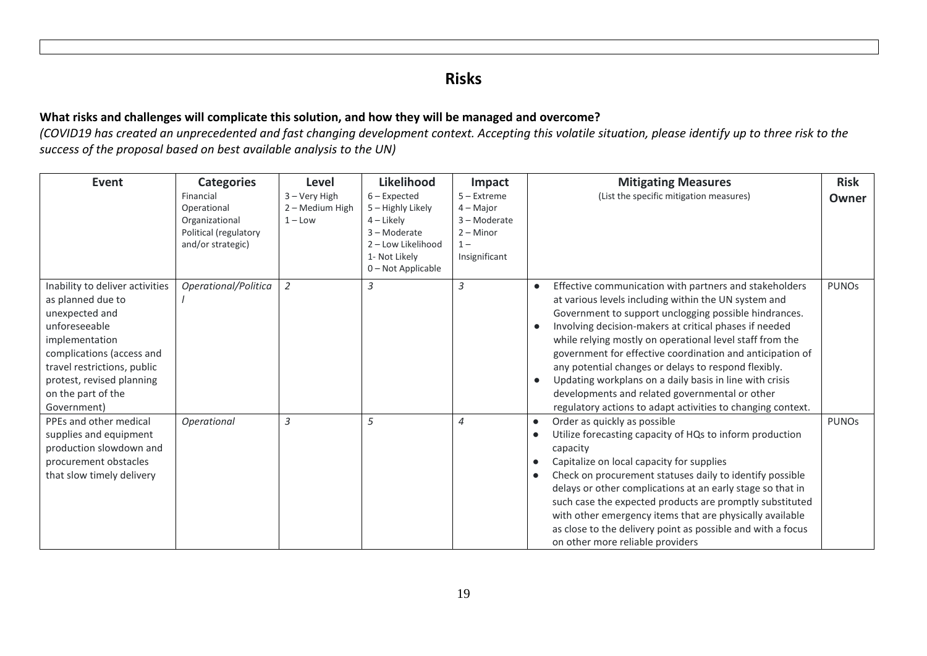#### **Risks**

#### **What risks and challenges will complicate this solution, and how they will be managed and overcome?**

*(COVID19 has created an unprecedented and fast changing development context. Accepting this volatile situation, please identify up to three risk to the success of the proposal based on best available analysis to the UN)*

| <b>Event</b>                                                                                                                                                                                                                            | <b>Categories</b>                                                                        | Level                                           | <b>Likelihood</b>                                                                                                              | Impact                                                                                | <b>Risk</b><br><b>Mitigating Measures</b>                                                                                                                                                                                                                                                                                                                                                                                                                                                                                                                                                                                                             |
|-----------------------------------------------------------------------------------------------------------------------------------------------------------------------------------------------------------------------------------------|------------------------------------------------------------------------------------------|-------------------------------------------------|--------------------------------------------------------------------------------------------------------------------------------|---------------------------------------------------------------------------------------|-------------------------------------------------------------------------------------------------------------------------------------------------------------------------------------------------------------------------------------------------------------------------------------------------------------------------------------------------------------------------------------------------------------------------------------------------------------------------------------------------------------------------------------------------------------------------------------------------------------------------------------------------------|
|                                                                                                                                                                                                                                         | Financial<br>Operational<br>Organizational<br>Political (regulatory<br>and/or strategic) | $3 -$ Very High<br>2 – Medium High<br>$1 -$ Low | $6$ – Expected<br>5 – Highly Likely<br>$4$ – Likely<br>3-Moderate<br>2 - Low Likelihood<br>1- Not Likely<br>0 - Not Applicable | $5 -$ Extreme<br>$4 -$ Major<br>3 - Moderate<br>$2 -$ Minor<br>$1 -$<br>Insignificant | (List the specific mitigation measures)<br>Owner                                                                                                                                                                                                                                                                                                                                                                                                                                                                                                                                                                                                      |
| Inability to deliver activities<br>as planned due to<br>unexpected and<br>unforeseeable<br>implementation<br>complications (access and<br>travel restrictions, public<br>protest, revised planning<br>on the part of the<br>Government) | Operational/Politica                                                                     | $\overline{2}$                                  | 3                                                                                                                              | 3                                                                                     | Effective communication with partners and stakeholders<br><b>PUNOS</b><br>$\bullet$<br>at various levels including within the UN system and<br>Government to support unclogging possible hindrances.<br>Involving decision-makers at critical phases if needed<br>$\bullet$<br>while relying mostly on operational level staff from the<br>government for effective coordination and anticipation of<br>any potential changes or delays to respond flexibly.<br>Updating workplans on a daily basis in line with crisis<br>$\bullet$<br>developments and related governmental or other<br>regulatory actions to adapt activities to changing context. |
| PPEs and other medical<br>supplies and equipment<br>production slowdown and<br>procurement obstacles<br>that slow timely delivery                                                                                                       | Operational                                                                              | $\overline{3}$                                  | 5                                                                                                                              | $\overline{4}$                                                                        | Order as quickly as possible<br><b>PUNOS</b><br>$\bullet$<br>Utilize forecasting capacity of HQs to inform production<br>$\bullet$<br>capacity<br>Capitalize on local capacity for supplies<br>$\bullet$<br>Check on procurement statuses daily to identify possible<br>$\bullet$<br>delays or other complications at an early stage so that in<br>such case the expected products are promptly substituted<br>with other emergency items that are physically available<br>as close to the delivery point as possible and with a focus<br>on other more reliable providers                                                                            |